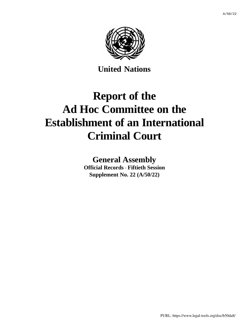

**United Nations**

# **Report of the Ad Hoc Committee on the Establishment of an International Criminal Court**

# **General Assembly**

**Official Records · Fiftieth Session Supplement No. 22 (A/50/22)**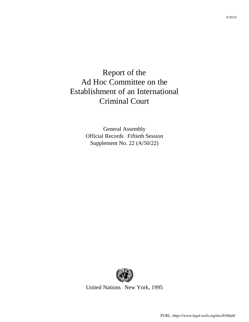# Report of the Ad Hoc Committee on the Establishment of an International Criminal Court

General Assembly Official Records · Fiftieth Session Supplement No. 22 (A/50/22)



United Nations · New York, 1995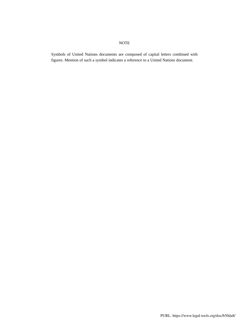# **NOTE**

Symbols of United Nations documents are composed of capital letters combined with figures. Mention of such a symbol indicates a reference to a United Nations document.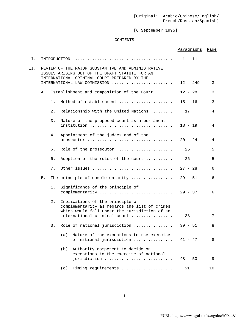[6 September 1995]

# CONTENTS

|     |    |       |                                                                                                                                                      | Paragraphs | Page           |
|-----|----|-------|------------------------------------------------------------------------------------------------------------------------------------------------------|------------|----------------|
| Ι.  |    |       |                                                                                                                                                      | $1 - 11$   | $\mathbf{1}$   |
| II. |    |       | REVIEW OF THE MAJOR SUBSTANTIVE AND ADMINISTRATIVE<br>ISSUES ARISING OUT OF THE DRAFT STATUTE FOR AN<br>INTERNATIONAL CRIMINAL COURT PREPARED BY THE |            |                |
|     |    |       | INTERNATIONAL LAW COMMISSION                                                                                                                         | $12 - 249$ | 3              |
|     | Α. |       | Establishment and composition of the Court                                                                                                           | $12 - 28$  | 3              |
|     |    | 1.    | Method of establishment                                                                                                                              | $15 - 16$  | 3              |
|     |    | $2$ . | Relationship with the United Nations                                                                                                                 | 17         | $\overline{4}$ |
|     |    | 3.    | Nature of the proposed court as a permanent<br>institution                                                                                           | $18 - 19$  | 4              |
|     |    | 4.    | Appointment of the judges and of the<br>prosecutor                                                                                                   | $20 - 24$  | 4              |
|     |    | 5.    | Role of the prosecutor                                                                                                                               | 25         | 5              |
|     |    | б.    | Adoption of the rules of the court                                                                                                                   | 26         | 5              |
|     |    | 7.    |                                                                                                                                                      | $27 - 28$  | 6              |
|     | B. |       | The principle of complementarity                                                                                                                     | $29 - 51$  | 6              |
|     |    | 1.    | Significance of the principle of<br>complementarity                                                                                                  | $29 - 37$  | 6              |
|     |    | 2.    | Implications of the principle of<br>complementarity as regards the list of crimes<br>which would fall under the jurisdiction of an                   |            |                |
|     |    |       | international criminal court                                                                                                                         | 38         | 7              |
|     |    | 3.    | Role of national jurisdiction                                                                                                                        | $39 - 51$  | 8              |
|     |    |       | Nature of the exceptions to the exercise<br>(a)<br>of national jurisdiction                                                                          | $41 - 47$  | 8              |
|     |    |       | Authority competent to decide on<br>(b)<br>exceptions to the exercise of national<br>jurisdiction                                                    | $48 - 50$  | 9              |
|     |    |       | Timing requirements<br>(c)                                                                                                                           | 51         | 10             |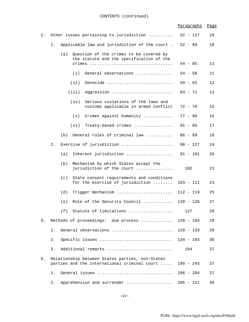|                |       |                                                                                                 | Paragraphs  | Page |
|----------------|-------|-------------------------------------------------------------------------------------------------|-------------|------|
| $\mathsf{C}$ . |       | Other issues pertaining to jurisdiction                                                         | $52 - 127$  | 10   |
|                | $1$ . | Applicable law and jurisdiction of the court.                                                   | $52 - 89$   | 10   |
|                |       | Question of the crimes to be covered by<br>(a)<br>the statute and the specification of the      | $54 - 85$   | 11   |
|                |       | (i)<br>General observations                                                                     | $54 - 58$   | 11   |
|                |       | (iii)<br>Genocide                                                                               | $59 - 62$   | 12   |
|                |       | (iii)<br>Aggression                                                                             | $63 - 71$   | 13   |
|                |       | Serious violations of the laws and<br>(iv)<br>customs applicable in armed conflict              | $72 - 76$   | 15   |
|                |       | Crimes against humanity<br>(v)                                                                  | $77 - 80$   | 16   |
|                |       | (vi)<br>Treaty-based crimes                                                                     | $81 - 85$   | 17   |
|                |       | General rules of criminal law<br>(b)                                                            | $86 - 89$   | 18   |
|                | 2.    | Exercise of jurisdiction                                                                        | $90 - 127$  | 19   |
|                |       | Inherent jurisdiction<br>(a)                                                                    | $91 - 101$  | 20   |
|                |       | Mechanism by which States accept the<br>(b)<br>jurisdiction of the court                        | 102         | 23   |
|                |       | State consent requirements and conditions<br>(c)<br>for the exercise of jurisdiction            | $103 - 111$ | 23   |
|                |       | (d)<br>Trigger mechanism                                                                        | $112 - 119$ | 25   |
|                |       | Role of the Security Council<br>(e)                                                             | 120 - 126   | 27   |
|                |       | (f)<br>Statute of limitations                                                                   | 127         | 29   |
| D.             |       | Methods of proceedings: due process                                                             | $128 - 194$ | 29   |
|                | 1.    | General observations                                                                            | $129 - 133$ | 29   |
|                | $2$ . | Specific issues                                                                                 | $134 - 193$ | 30   |
|                | 3.    | Additional remarks                                                                              | 194         | 37   |
| Е.             |       | Relationship between States parties, non-States<br>parties and the international criminal court | $195 - 243$ | 37   |
|                | 1.    | General issues                                                                                  | $196 - 204$ | 37   |
|                | $2$ . | Apprehension and surrender                                                                      | $205 - 221$ | 39   |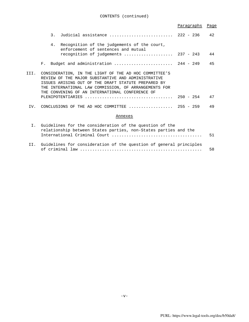|      |                |                                                                                                                                                                                                                                                                                | Paragraphs  | Page |
|------|----------------|--------------------------------------------------------------------------------------------------------------------------------------------------------------------------------------------------------------------------------------------------------------------------------|-------------|------|
|      | 3 <sub>1</sub> |                                                                                                                                                                                                                                                                                |             | 42   |
|      |                | 4. Recognition of the judgements of the court,<br>enforcement of sentences and mutual<br>recognition of judgements  237 - 243                                                                                                                                                  |             | 44   |
|      | $\mathbf{F}$ . | Budget and administration                                                                                                                                                                                                                                                      | $244 - 249$ | 45   |
| III. |                | CONSIDERATION, IN THE LIGHT OF THE AD HOC COMMITTEE'S<br>REVIEW OF THE MAJOR SUBSTANTIVE AND ADMINISTRATIVE<br>ISSUES ARISING OUT OF THE DRAFT STATUTE PREPARED BY<br>THE INTERNATIONAL LAW COMMISSION, OF ARRANGEMENTS FOR<br>THE CONVENING OF AN INTERNATIONAL CONFERENCE OF | $250 - 254$ | 47   |
| TV.  |                | CONCLUSIONS OF THE AD HOC COMMITTEE $\ldots \ldots \ldots \ldots \ldots$ 255 - 259                                                                                                                                                                                             |             | 49   |
|      |                | $7 - 12 - 12 - 12$                                                                                                                                                                                                                                                             |             |      |

#### Annexes

| I. Guidelines for the consideration of the question of the             |    |
|------------------------------------------------------------------------|----|
| relationship between States parties, non-States parties and the        |    |
|                                                                        | 51 |
| II. Guidelines for consideration of the question of general principles |    |
|                                                                        | 58 |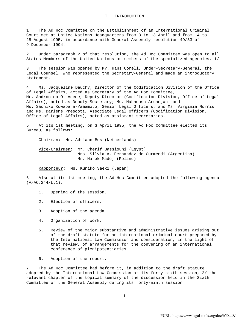1. The Ad Hoc Committee on the Establishment of an International Criminal Court met at United Nations Headquarters from 3 to 13 April and from 14 to 25 August 1995, in accordance with General Assembly resolution 49/53 of 9 December 1994.

2. Under paragraph 2 of that resolution, the Ad Hoc Committee was open to all States Members of the United Nations or members of the specialized agencies.  $1/$ 

The session was opened by Mr. Hans Corell, Under-Secretary-General, the Legal Counsel, who represented the Secretary-General and made an introductory statement.

4. Ms. Jacqueline Dauchy, Director of the Codification Division of the Office of Legal Affairs, acted as Secretary of the Ad Hoc Committee; Mr. Andronico O. Adede, Deputy Director (Codification Division, Office of Legal Affairs), acted as Deputy Secretary; Ms. Mahnoush Arsanjani and Ms. Sachiko Kuwabara-Yamamoto, Senior Legal Officers, and Ms. Virginia Morris and Ms. Darlene Prescott, Associate Legal Officers (Codification Division, Office of Legal Affairs), acted as assistant secretaries.

5. At its 1st meeting, on 3 April 1995, the Ad Hoc Committee elected its Bureau, as follows:

Chairman: Mr. Adriaan Bos (Netherlands)

Vice-Chairmen: Mr. Cherif Bassiouni (Egypt) Mrs. Silvia A. Fernandez de Gurmendi (Argentina) Mr. Marek Madej (Poland)

Rapporteur: Ms. Kuniko Saeki (Japan)

6. Also at its 1st meeting, the Ad Hoc Committee adopted the following agenda  $(A/AC.244/L.1):$ 

- 1. Opening of the session.
- 2. Election of officers.
- 3. Adoption of the agenda.
- 4. Organization of work.
- 5. Review of the major substantive and administrative issues arising out of the draft statute for an international criminal court prepared by the International Law Commission and consideration, in the light of that review, of arrangements for the convening of an international conference of plenipotentiaries.
- 6. Adoption of the report.

7. The Ad Hoc Committee had before it, in addition to the draft statute adopted by the International Law Commission at its forty-sixth session, 2/ the relevant chapter of the topical summary of the discussion held in the Sixth Committee of the General Assembly during its forty-ninth session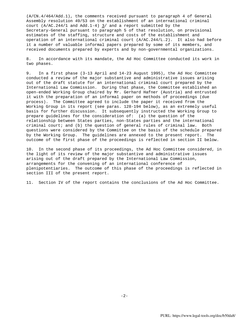(A/CN.4/464/Add.1), the comments received pursuant to paragraph 4 of General Assembly resolution 49/53 on the establishment of an international criminal court (A/AC.244/1 and Add.1-4) 3/ and a report submitted by the Secretary-General pursuant to paragraph 5 of that resolution, on provisional estimates of the staffing, structure and costs of the establishment and operation of an international criminal court (A/AC.244/L.2). It also had before it a number of valuable informal papers prepared by some of its members, and received documents prepared by experts and by non-governmental organizations.

8. In accordance with its mandate, the Ad Hoc Committee conducted its work in two phases.

9. In a first phase (3-13 April and 14-23 August 1995), the Ad Hoc Committee conducted a review of the major substantive and administrative issues arising out of the draft statute for an international criminal court prepared by the International Law Commission. During that phase, the Committee established an open-ended Working Group chaired by Mr. Gerhard Hafner (Austria) and entrusted it with the preparation of an informal paper on methods of proceedings (due process). The Committee agreed to include the paper it received from the Working Group in its report (see paras. 128-194 below), as an extremely useful basis for further discussion. It subsequently instructed the Working Group to prepare guidelines for the consideration of: (a) the question of the relationship between States parties, non-States parties and the international criminal court; and (b) the question of general rules of criminal law. Both questions were considered by the Committee on the basis of the schedule prepared by the Working Group. The guidelines are annexed to the present report. The outcome of the first phase of the proceedings is reflected in section II below.

10. In the second phase of its proceedings, the Ad Hoc Committee considered, in the light of its review of the major substantive and administrative issues arising out of the draft prepared by the International Law Commission, arrangements for the convening of an international conference of plenipotentiaries. The outcome of this phase of the proceedings is reflected in section III of the present report.

11. Section IV of the report contains the conclusions of the Ad Hoc Committee.

-2-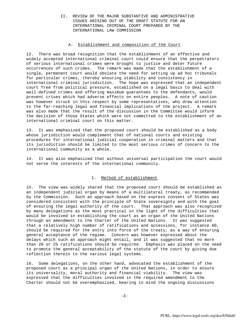II. REVIEW OF THE MAJOR SUBSTANTIVE AND ADMINISTRATIVE ISSUES ARISING OUT OF THE DRAFT STATUTE FOR AN INTERNATIONAL CRIMINAL COURT PREPARED BY THE INTERNATIONAL LAW COMMISSION

#### A. Establishment and composition of the Court

12. There was broad recognition that the establishment of an effective and widely accepted international criminal court could ensure that the perpetrators of serious international crimes were brought to justice and deter future occurrences of such crimes. The remark was made that the establishment of a single, permanent court would obviate the need for setting up ad hoc tribunals for particular crimes, thereby ensuring stability and consistency in international criminal jurisdiction. The hope was expressed that an independent court free from political pressure, established on a legal basis to deal with well-defined crimes and offering maximum guarantees to the defendants, would prevent crises which had adverse effects on entire peoples. A note of caution was however struck in this respect by some representatives, who drew attention to the far-reaching legal and financial implications of the project. A remark was also made that the result of the discussion in the Committee would inform the decision of those States which were not committed to the establishment of an international criminal court on this matter.

13. It was emphasized that the proposed court should be established as a body whose jurisdiction would complement that of national courts and existing procedures for international judicial cooperation in criminal matters and that its jurisdiction should be limited to the most serious crimes of concern to the international community as a whole.

14. It was also emphasized that without universal participation the court would not serve the interests of the international community.

#### 1. Method of establishment

15. The view was widely shared that the proposed court should be established as an independent judicial organ by means of a multilateral treaty, as recommended by the Commission. Such an approach based on the express consent of States was considered consistent with the principle of State sovereignty and with the goal of ensuring the legal authority of the court. That approach was also recognized by many delegations as the most practical in the light of the difficulties that would be involved in establishing the court as an organ of the United Nations through an amendment to the Charter of the United Nations. It was suggested that a relatively high number of ratifications and accessions, for instance 60, should be required for the entry into force of the treaty, as a way of ensuring general acceptance of the regime. Concern was however expressed about the delays which such an approach might entail, and it was suggested that no more than 20 or 25 ratifications should be required. Emphasis was placed on the need to promote the general acceptability of the statute of the court by giving due reflection therein to the various legal systems.

16. Some delegations, on the other hand, advocated the establishment of the proposed court as a principal organ of the United Nations, in order to ensure its universality, moral authority and financial viability. The view was expressed that the difficulties involved in the required amendment to the Charter should not be overemphasized, bearing in mind the ongoing discussions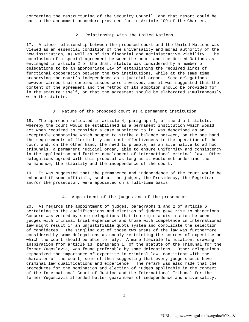concerning the restructuring of the Security Council, and that resort could be had to the amendment procedure provided for in Article 109 of the Charter.

#### 2. Relationship with the United Nations

17. A close relationship between the proposed court and the United Nations was viewed as an essential condition of the universality and moral authority of the new institution, as well as of its financial and administrative viability. The conclusion of a special agreement between the court and the United Nations as envisaged in article 2 of the draft statute was considered by a number of delegations to be an appropriate way of establishing the required links of functional cooperation between the two institutions, while at the same time preserving the court's independence as a judicial organ. Some delegations however warned that complex issues were involved, and it was suggested that the content of the agreement and the method of its adoption should be provided for in the statute itself, or that the agreement should be elaborated simultaneously with the statute.

#### 3. Nature of the proposed court as a permanent institution

18. The approach reflected in article 4, paragraph 1, of the draft statute, whereby the court would be established as a permanent institution which would act when required to consider a case submitted to it, was described as an acceptable compromise which sought to strike a balance between, on the one hand, the requirements of flexibility and cost-effectiveness in the operation of the court and, on the other hand, the need to promote, as an alternative to ad hoc tribunals, a permanent judicial organ, able to ensure uniformity and consistency in the application and further development of international criminal law. Other delegations agreed with this proposal as long as it would not undermine the permanence, the stability and the independence of the court.

19. It was suggested that the permanence and independence of the court would be enhanced if some officials, such as the judges, the Presidency, the Registrar and/or the prosecutor, were appointed on a full-time basis.

# 4. Appointment of the judges and of the prosecutor

20. As regards the appointment of judges, paragraphs 1 and 2 of article 6 pertaining to the qualifications and election of judges gave rise to objections. Concern was voiced by some delegations that too rigid a distinction between judges with criminal trial experience and those with competence in international law might result in an unjustifiable quota system and complicate the selection of candidates. The singling out of those two areas of the law was furthermore considered by some delegations as unduly restricting the sources of expertise on which the court should be able to rely. A more flexible formulation, drawing inspiration from article 13, paragraph 1, of the statute of the Tribunal for the former Yugoslavia, was found preferable by some delegations. Other delegations emphasized the importance of expertise in criminal law, consistent with the character of the court, some of them suggesting that every judge should have criminal law qualifications and experience. The remark was also made that the procedures for the nomination and election of judges applicable in the context of the International Court of Justice and the International Tribunal for the former Yugoslavia afforded better guarantees of independence and universality.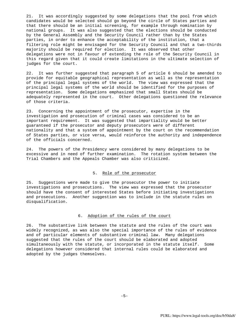21. It was accordingly suggested by some delegations that the pool from which candidates would be selected should go beyond the circle of States parties and that there should be an initial screening, for example through nomination by national groups. It was also suggested that the elections should be conducted by the General Assembly and the Security Council rather than by the States parties, in order to enhance the acceptability of the institution, that a filtering role might be envisaged for the Security Council and that a two-thirds majority should be required for election. It was observed that other delegations were not in favour of extending the role of the Security Council in this regard given that it could create limitations in the ultimate selection of judges for the court.

22. It was further suggested that paragraph 5 of article 6 should be amended to provide for equitable geographical representation as well as the representation of the principal legal systems of the world. The view was expressed that the principal legal systems of the world should be identified for the purposes of representation. Some delegations emphasized that small States should be adequately represented in the court. Other delegations questioned the relevance of those criteria.

23. Concerning the appointment of the prosecutor, expertise in the investigation and prosecution of criminal cases was considered to be an important requirement. It was suggested that impartiality would be better guaranteed if the prosecutor and deputy prosecutors were of different nationality and that a system of appointment by the court on the recommendation of States parties, or vice versa, would reinforce the authority and independence of the officials concerned.

24. The powers of the Presidency were considered by many delegations to be excessive and in need of further examination. The rotation system between the Trial Chambers and the Appeals Chamber was also criticized.

# 5. Role of the prosecutor

25. Suggestions were made to give the prosecutor the power to initiate investigations and prosecutions. The view was expressed that the prosecutor should have the consent of interested States before initiating investigations and prosecutions. Another suggestion was to include in the statute rules on disqualification.

#### 6. Adoption of the rules of the court

26. The substantive link between the statute and the rules of the court was widely recognized, as was also the special importance of the rules of evidence and of particular elements of substantive criminal law. Many delegations suggested that the rules of the court should be elaborated and adopted simultaneously with the statute, or incorporated in the statute itself. Some delegations however considered that internal rules could be elaborated and adopted by the judges themselves.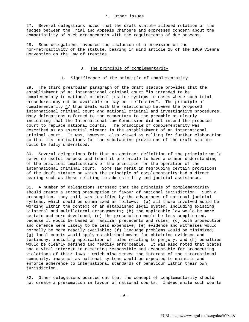#### 7. Other issues

27. Several delegations noted that the draft statute allowed rotation of the judges between the Trial and Appeals Chambers and expressed concern about the compatibility of such arrangements with the requirements of due process.

28. Some delegations favoured the inclusion of a provision on the non-retroactivity of the statute, bearing in mind article 28 of the 1969 Vienna Convention on the Law of Treaties.

#### B. The principle of complementarity

#### 1. Significance of the principle of complementarity

29. The third preambular paragraph of the draft statute provides that the establishment of an international criminal court "is intended to be complementary to national criminal justice systems in cases where such trial procedures may not be available or may be ineffective". The principle of complementarity  $4/$  thus deals with the relationship between the proposed international criminal court and national criminal and investigative procedures. Many delegations referred to the commentary to the preamble as clearly indicating that the International Law Commission did not intend the proposed court to replace national courts. The principle of complementarity was described as an essential element in the establishment of an international criminal court. It was, however, also viewed as calling for further elaboration so that its implications for the substantive provisions of the draft statute could be fully understood.

30. Several delegations felt that an abstract definition of the principle would serve no useful purpose and found it preferable to have a common understanding of the practical implications of the principle for the operation of the international criminal court. Some saw merit in regrouping certain provisions of the draft statute on which the principle of complementarity had a direct bearing such as those relating to admissibility and judicial assistance.

31. A number of delegations stressed that the principle of complementarity should create a strong presumption in favour of national jurisdiction. Such a presumption, they said, was justified by the advantages of national judicial systems, which could be summarized as follows: (a) all those involved would be working within the context of an established legal system, including existing bilateral and multilateral arrangements; (b) the applicable law would be more certain and more developed; (c) the prosecution would be less complicated, because it would be based on familiar precedents and rules; (d) both prosecution and defence were likely to be less expensive; (e) evidence and witnesses would normally be more readily available; (f) language problems would be minimized; (g) local courts would apply established means for obtaining evidence and testimony, including application of rules relating to perjury; and (h) penalties would be clearly defined and readily enforceable. It was also noted that States had a vital interest in remaining responsible and accountable for prosecuting violations of their laws - which also served the interest of the international community, inasmuch as national systems would be expected to maintain and enforce adherence to international standards of behaviour within their own jurisdiction.

32. Other delegations pointed out that the concept of complementarity should not create a presumption in favour of national courts. Indeed while such courts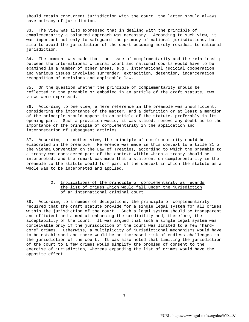should retain concurrent jurisdiction with the court, the latter should always have primacy of jurisdiction.

33. The view was also expressed that in dealing with the principle of complementarity a balanced approach was necessary. According to such view, it was important not only to safeguard the primacy of national jurisdictions, but also to avoid the jurisdiction of the court becoming merely residual to national jurisdiction.

34. The comment was made that the issue of complementarity and the relationship between the international criminal court and national courts would have to be examined in a number of other areas, e.g., international judicial cooperation and various issues involving surrender, extradition, detention, incarceration, recognition of decisions and applicable law.

35. On the question whether the principle of complementarity should be reflected in the preamble or embodied in an article of the draft statute, two views were expressed.

36. According to one view, a mere reference in the preamble was insufficient, considering the importance of the matter, and a definition or at least a mention of the principle should appear in an article of the statute, preferably in its opening part. Such a provision would, it was stated, remove any doubt as to the importance of the principle of complementarity in the application and interpretation of subsequent articles.

37. According to another view, the principle of complementarity could be elaborated in the preamble. Reference was made in this context to article 31 of the Vienna Convention on the Law of Treaties, according to which the preamble to a treaty was considered part of the context within which a treaty should be interpreted, and the remark was made that a statement on complementarity in the preamble to the statute would form part of the context in which the statute as a whole was to be interpreted and applied.

# 2. Implications of the principle of complementarity as regards the list of crimes which would fall under the jurisdiction of an international criminal court

38. According to a number of delegations, the principle of complementarity required that the draft statute provide for a single legal system for all crimes within the jurisdiction of the court. Such a legal system should be transparent and efficient and aimed at enhancing the credibility and, therefore, the acceptability of the court. It was argued that such a single legal system was conceivable only if the jurisdiction of the court was limited to a few "hardcore" crimes. Otherwise, a multiplicity of jurisdictional mechanisms would have to be established and there would be an increased risk of endless challenges to the jurisdiction of the court. It was also noted that limiting the jurisdiction of the court to a few crimes would simplify the problem of consent to the exercise of jurisdiction, whereas expanding the list of crimes would have the opposite effect.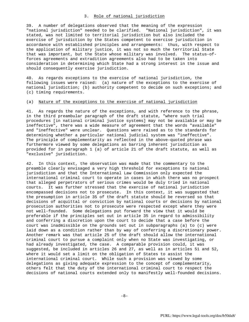#### 3. Role of national jurisdiction

39. A number of delegations observed that the meaning of the expression "national jurisdiction" needed to be clarified. "National jurisdiction", it was stated, was not limited to territorial jurisdiction but also included the exercise of jurisdiction by the States competent to exercise jurisdiction in accordance with established principles and arrangements: thus, with respect to the application of military justice, it was not so much the territorial State that was important, but the State whose military was involved. The status-offorces agreements and extradition agreements also had to be taken into consideration in determining which State had a strong interest in the issue and should consequently exercise jurisdiction.

40. As regards exceptions to the exercise of national jurisdiction, the following issues were raised: (a) nature of the exceptions to the exercise of national jurisdiction; (b) authority competent to decide on such exceptions; and (c) timing requirements.

#### (a) Nature of the exceptions to the exercise of national jurisdiction

41. As regards the nature of the exceptions, and with reference to the phrase, in the third preambular paragraph of the draft statute, "where such trial procedures [in national criminal justice systems] may not be available or may be ineffective", there was a wide measure of agreement that the words "available" and "ineffective" were unclear. Questions were raised as to the standards for determining whether a particular national judicial system was "ineffective". The principle of complementarity as reflected in the above-quoted phrase was furthermore viewed by some delegations as barring inherent jurisdiction as provided for in paragraph 1 (a) of article 21 of the draft statute, as well as "exclusive" jurisdiction.

42. In this context, the observation was made that the commentary to the preamble clearly envisaged a very high threshold for exceptions to national jurisdiction and that the International Law Commission only expected the international criminal court to operate in cases in which there was no prospect that alleged perpetrators of serious crimes would be duly tried in national courts. It was further stressed that the exercise of national jurisdiction encompassed decisions not to prosecute. In this context, it was suggested that the presumption in article 35 of the draft statute should be reversed so that decisions of acquittal or conviction by national courts or decisions by national prosecution authorities not to prosecute were respected except where they were not well-founded. Some delegations put forward the view that it would be preferable if the principles set out in article 35 in regard to admissibility and conferring a discretion upon the court to decide that a case before the court was inadmissible on the grounds set out in subparagraphs (a) to (c) were laid down as a condition rather than by way of conferring a discretionary power. Another remark was that article 25 of the draft should allow the international criminal court to pursue a complaint only when no State was investigating, or had already investigated, the case. A comparable provision could, it was suggested, be included in articles 26 and 27, as well as in articles 51 and 52, where it would set a limit on the obligation of States to assist the international criminal court. While such a provision was viewed by some delegations as giving adequate expression to the concept of complementarity, others felt that the duty of the international criminal court to respect the decisions of national courts extended only to manifestly well-founded decisions.

 $-8-$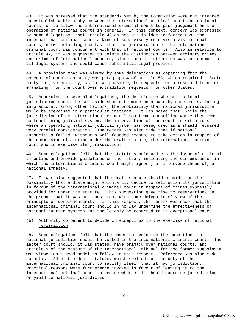43. It was stressed that the standards set by the Commission were not intended to establish a hierarchy between the international criminal court and national courts, or to allow the international criminal court to pass judgement on the operation of national courts in general. In this context, concern was expressed by some delegations that article 42 on non bis in idem conferred upon the international criminal court a kind of supervisory role vis-à-vis national courts, notwithstanding the fact that the jurisdiction of the international criminal court was concurrent with that of national courts. Also in relation to article 42, it was suggested to delete the distinction between ordinary crimes and crimes of international concern, since such a distinction was not common to all legal systems and could cause substantial legal problems.

44. A provision that was viewed by some delegations as departing from the concept of complementarity was paragraph 4 of article 53, which required a State party to give priority, as far as possible, to requests for arrest and transfer emanating from the court over extradition requests from other States.

45. According to several delegations, the decision on whether national jurisdiction should be set aside should be made on a case-by-case basis, taking into account, among other factors, the probability that national jurisdiction would be exercised in a particular instance. It was noted that, while the jurisdiction of an international criminal court was compelling where there was no functioning judicial system, the intervention of the court in situations where an operating national judicial system was being used as a shield required very careful consideration. The remark was also made that if national authorities failed, without a well-founded reason, to take action in respect of the commission of a crime under the draft statute, the international criminal court should exercise its jurisdiction.

46. Some delegations felt that the statute should address the issue of national amnesties and provide guidelines on the matter, indicating the circumstances in which the international criminal court might ignore, or intervene ahead of, a national amnesty.

47. It was also suggested that the draft statute should provide for the possibility that a State might voluntarily decide to relinquish its jurisdiction in favour of the international criminal court in respect of crimes expressly provided for under its statute. This suggestion gave rise to reservations on the ground that it was not consistent with some delegations' view of the principle of complementarity. In this respect, the remark was made that the international criminal court should in no way undermine the effectiveness of national justice systems and should only be resorted to in exceptional cases.

# (b) Authority competent to decide on exceptions to the exercise of national jurisdiction

48. Some delegations felt that the power to decide on the exceptions to national jurisdiction should be vested in the international criminal court. The latter court should, it was stated, have primacy over national courts, and article 9 of the statute of the International Tribunal for the former Yugoslavia was viewed as a good model to follow in this respect. Reference was also made to article 24 of the draft statute, which spelled out the duty of the international criminal court to satisfy itself that it had jurisdiction. Practical reasons were furthermore invoked in favour of leaving it to the international criminal court to decide whether it should exercise jurisdiction or yield to national jurisdiction.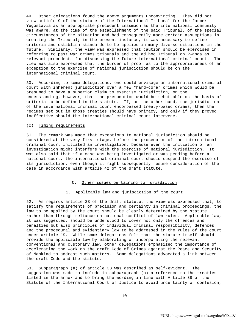49. Other delegations found the above arguments unconvincing. They did not view article 9 of the statute of the International Tribunal for the former Yugoslavia as an appropriate precedent inasmuch as the international community was aware, at the time of the establishment of the said Tribunal, of the special circumstances of the situation and had consequently made certain assumptions in creating the Tribunal; in the present instance, it was necessary to define criteria and establish standards to be applied in many diverse situations in the future. Similarly, the view was expressed that caution should be exercised in referring to past war crimes tribunals and the ad hoc Tribunal on Rwanda as relevant precedents for discussing the future international criminal court. The view was also expressed that the burden of proof as to the appropriateness of an exception to the exercise of national jurisdiction should be on the international criminal court.

50. According to some delegations, one could envisage an international criminal court with inherent jurisdiction over a few "hard-core" crimes which would be presumed to have a superior claim to exercise jurisdiction, on the understanding, however, that the presumption would be rebuttable on the basis of criteria to be defined in the statute. If, on the other hand, the jurisdiction of the international criminal court encompassed treaty-based crimes, then the regimes set out in those treaties should have primacy, and only if they proved ineffective should the international criminal court intervene.

#### (c) Timing requirements

51. The remark was made that exceptions to national jurisdiction should be considered at the very first stage, before the prosecutor of the international criminal court initiated an investigation, because even the initiation of an investigation might interfere with the exercise of national jurisdiction. It was also said that if a case was being investigated or was pending before a national court, the international criminal court should suspend the exercise of its jurisdiction, even though it might subsequently resume consideration of the case in accordance with article 42 of the draft statute.

#### C. Other issues pertaining to jurisdiction

#### 1. Applicable law and jurisdiction of the court

52. As regards article 33 of the draft statute, the view was expressed that, to satisfy the requirements of precision and certainty in criminal proceedings, the law to be applied by the court should be clearly determined by the statute rather than through reliance on national conflict-of-law rules. Applicable law, it was suggested, should be understood to cover not only the offences and penalties but also principles of individual criminal responsibility, defences and the procedural and evidentiary law to be addressed in the rules of the court under article 19. While some delegations felt that the statute itself should provide the applicable law by elaborating or incorporating the relevant conventional and customary law, other delegations emphasized the importance of accelerating the work on the draft Code of Crimes against the Peace and Security of Mankind to address such matters. Some delegations advocated a link between the draft Code and the statute.

53. Subparagraph (a) of article 33 was described as self-evident. The suggestion was made to include in subparagraph (b) a reference to the treaties listed in the annex and to bring the wording in line with Article 38 of the Statute of the International Court of Justice to avoid uncertainty or confusion,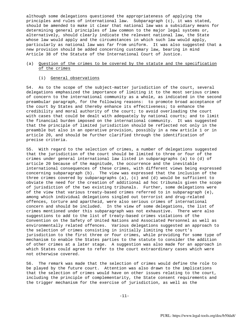although some delegations questioned the appropriateness of applying the principles and rules of international law. Subparagraph (c), it was stated, should be amended to make it clear that national law was a subsidiary means for determining general principles of law common to the major legal systems or, alternatively, should clearly indicate the relevant national law, the State whose law would apply and the circumstances in which such law would apply, particularly as national law was far from uniform. It was also suggested that a new provision should be added concerning customary law, bearing in mind Article 38 of the Statute of the International Court of Justice.

# (a) Question of the crimes to be covered by the statute and the specification of the crimes

#### (i) General observations

54. As to the scope of the subject-matter jurisdiction of the court, several delegations emphasized the importance of limiting it to the most serious crimes of concern to the international community as a whole, as indicated in the second preambular paragraph, for the following reasons: to promote broad acceptance of the court by States and thereby enhance its effectiveness; to enhance the credibility and moral authority of the court; to avoid overloading the court with cases that could be dealt with adequately by national courts; and to limit the financial burden imposed on the international community. It was suggested that the principle of limited jurisdiction should be reflected not only in the preamble but also in an operative provision, possibly in a new article 1 or in article 20, and should be further clarified through the identification of precise criteria.

55. With regard to the selection of crimes, a number of delegations suggested that the jurisdiction of the court should be limited to three or four of the crimes under general international law listed in subparagraphs (a) to (d) of article 20 because of the magnitude, the occurrence and the inevitable international consequences of these crimes, with different views being expressed concerning subparagraph (b). The view was expressed that the inclusion of the three crimes covered by subparagraphs (a), (c) and (d) would be sufficient to obviate the need for the creation of additional ad hoc tribunals given the scope of jurisdiction of the two existing tribunals. Further, some delegations were of the view that various treaty-based crimes referred to in subparagraph (e), among which individual delegations singled out terrorist and drug-related offences, torture and apartheid, were also serious crimes of international concern and should be included. In the view of some delegations, the list of crimes mentioned under this subparagraph was not exhaustive. There were also suggestions to add to the list of treaty-based crimes violations of the Convention on the Safety of United Nations and Associated Personnel as well as environmentally related offences. Various delegations suggested an approach to the selection of crimes consisting in initially limiting the court's jurisdiction to the first three or four crimes, while providing for some type of mechanism to enable the States parties to the statute to consider the addition of other crimes at a later stage. A suggestion was also made for an approach in which States could agree to refer to the court extraordinary cases which were not otherwise covered.

56. The remark was made that the selection of crimes would define the role to be played by the future court. Attention was also drawn to the implications that the selection of crimes would have on other issues relating to the court, including the principle of complementarity, the State consent requirements and the trigger mechanism for the exercise of jurisdiction, as well as the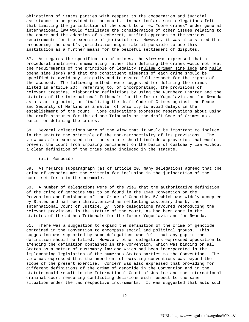obligations of States parties with respect to the cooperation and judicial assistance to be provided to the court. In particular, some delegations felt that limiting the jurisdiction of the court to a few "core crimes" under general international law would facilitate the consideration of other issues relating to the court and the adoption of a coherent, unified approach to the various requirements for the exercise of jurisdiction. However, it was also stated that broadening the court's jurisdiction might make it possible to use this institution as a further means for the peaceful settlement of disputes.

57. As regards the specification of crimes, the view was expressed that a procedural instrument enumerating rather than defining the crimes would not meet the requirements of the principle of legality (nullum crimen sine lege and nulla poena sine lege) and that the constituent elements of each crime should be specified to avoid any ambiguity and to ensure full respect for the rights of the accused. The following methods were suggested for defining the crimes listed in article 20: referring to, or incorporating, the provisions of relevant treaties; elaborating definitions by using the Nürnberg Charter and the statutes of the International Tribunals for the former Yugoslavia and for Rwanda as a starting-point; or finalizing the draft Code of Crimes against the Peace and Security of Mankind as a matter of priority to avoid delays in the establishment of the court. Some delegations expressed reservations about using the draft statutes for the ad hoc Tribunals or the draft Code of Crimes as a basis for defining the crimes.

58. Several delegations were of the view that it would be important to include in the statute the principle of the non-retroactivity of its provisions. The view was also expressed that the statute should include a provision that would prevent the court from imposing punishment on the basis of customary law without a clear definition of the crime being included in the statute.

#### (ii) Genocide

59. As regards subparagraph (a) of article 20, many delegations agreed that the crime of genocide met the criteria for inclusion in the jurisdiction of the court set forth in the preamble.

60. A number of delegations were of the view that the authoritative definition of the crime of genocide was to be found in the 1948 Convention on the Prevention and Punishment of the Crime of Genocide, 5/ which was widely accepted by States and had been characterized as reflecting customary law by the International Court of Justice. 6/ Some delegations favoured reproducing the relevant provisions in the statute of the court, as had been done in the statutes of the ad hoc Tribunals for the former Yugoslavia and for Rwanda.

61. There was a suggestion to expand the definition of the crime of genocide contained in the Convention to encompass social and political groups. This suggestion was supported by some delegations who felt that any gap in the definition should be filled. However, other delegations expressed opposition to amending the definition contained in the Convention, which was binding on all States as a matter of customary law and which had been incorporated in the implementing legislation of the numerous States parties to the Convention. The view was expressed that the amendment of existing conventions was beyond the scope of the present exercise. Concern was also expressed that providing for different definitions of the crime of genocide in the Convention and in the statute could result in the International Court of Justice and the international criminal court rendering conflicting decisions with respect to the same situation under the two respective instruments. It was suggested that acts such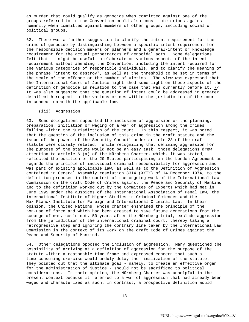as murder that could qualify as genocide when committed against one of the groups referred to in the Convention could also constitute crimes against humanity when committed against members of other groups, including social or political groups.

62. There was a further suggestion to clarify the intent requirement for the crime of genocide by distinguishing between a specific intent requirement for the responsible decision makers or planners and a general-intent or knowledge requirement for the actual perpetrators of genocidal acts. Some delegations felt that it might be useful to elaborate on various aspects of the intent requirement without amending the Convention, including the intent required for the various categories of responsible individuals, and to clarify the meaning of the phrase "intent to destroy", as well as the threshold to be set in terms of the scale of the offence or the number of victims. The view was expressed that the International Court of Justice might shed some light on these aspects of the definition of genocide in relation to the case that was currently before it. 7/ It was also suggested that the question of intent could be addressed in greater detail with respect to the various crimes within the jurisdiction of the court in connection with the applicable law.

#### (iii) Aggression

63. Some delegations supported the inclusion of aggression or the planning, preparation, initiation or waging of a war of aggression among the crimes falling within the jurisdiction of the court. In this respect, it was noted that the question of the inclusion of this crime in the draft statute and the issue of the powers of the Security Council under article 23 of the draft statute were closely related. While recognizing that defining aggression for the purpose of the statute would not be an easy task, those delegations drew attention to article 6 (a) of the Nürnberg Charter, which, it was stated, reflected the position of the 20 States participating in the London Agreement as regards the principle of individual criminal responsibility for aggression and was part of existing applicable law, as well as to the Definition of Aggression contained in General Assembly resolution 3314 (XXIX) of 14 December 1974, to the definition proposed in the context of the ongoing work of the International Law Commission on the draft Code of Crimes against the Peace and Security of Mankind and to the definition worked out by the Committee of Experts which had met in June 1995 under the auspices of the International Association of Penal Law, the International Institute of Higher Studies in Criminal Sciences and the Max Planck Institute for Foreign and International Criminal Law. In their opinion, the United Nations, whose Charter enshrined the principle of the non-use of force and which had been created to save future generations from the scourge of war, could not, 50 years after the Nürnberg trial, exclude aggression from the jurisdiction of the international criminal court, thereby taking a retrogressive step and ignoring the contrary line taken by the International Law Commission in the context of its work on the draft Code of Crimes against the Peace and Security of Mankind.

64. Other delegations opposed the inclusion of aggression. Many questioned the possibility of arriving at a definition of aggression for the purpose of the statute within a reasonable time-frame and expressed concern that such a time-consuming exercise would unduly delay the finalization of the statute. They pointed out that the ultimate goal - namely, to create an effective organ for the administration of justice - should not be sacrificed to political considerations. In their opinion, the Nürnberg Charter was unhelpful in the present context because it referred to a war of aggression that had already been waged and characterized as such; in contrast, a prospective definition would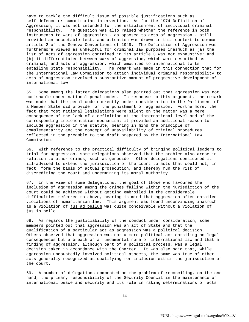have to tackle the difficult issue of possible justifications such as self-defence or humanitarian intervention. As for the 1974 Definition of Aggression, it was not intended for the establishment of individual criminal responsibility. The question was also raised whether the reference in both instruments to wars of aggression - as opposed to acts of aggression - still provided an acceptable test, and attention was drawn in this context to common article 2 of the Geneva Conventions of 1949. The Definition of Aggression was furthermore viewed as unhelpful for criminal law purposes inasmuch as (a) the list of acts of aggression contained in its article 3 was not exhaustive; and (b) it differentiated between wars of aggression, which were described as criminal, and acts of aggression, which amounted to international torts entailing State responsibility. The remark was made in this connection that for the International Law Commission to attach individual criminal responsibility to acts of aggression involved a substantive amount of progressive development of international law.

65. Some among the latter delegations also pointed out that aggression was not punishable under national penal codes. In response to this argument, the remark was made that the penal code currently under consideration in the Parliament of a Member State did provide for the punishment of aggression. Furthermore, the fact that most national legislations were silent on the matter was a mere consequence of the lack of a definition at the international level and of the corresponding implementation mechanism; it provided an additional reason to include aggression in the statute, bearing in mind the principle of complementarity and the concept of unavailability of criminal procedures reflected in the preamble to the draft prepared by the International Law Commission.

66. With reference to the practical difficulty of bringing political leaders to trial for aggression, some delegations observed that the problem also arose in relation to other crimes, such as genocide. Other delegations considered it ill-advised to extend the jurisdiction of the court to acts that could not, in fact, form the basis of actual prosecution, and thereby run the risk of discrediting the court and undermining its moral authority.

67. In the view of some delegations, the goal of those who favoured the inclusion of aggression among the crimes falling within the jurisdiction of the court could be achieved without getting embroiled in the considerable difficulties referred to above, bearing in mind that aggression often entailed violations of humanitarian law. This argument was found unconvincing inasmuch as a violation of jus ad bellum was quite conceivable without a violation of jus in bello.

68. As regards the justiciability of the conduct under consideration, some members pointed out that aggression was an act of State and that the qualification of a particular act as aggression was a political decision. Others observed that aggression was not a mere political act entailing no legal consequences but a breach of a fundamental norm of international law and that a finding of aggression, although part of a political process, was a legal decision taken in accordance with the Charter. It was also said that, while aggression undoubtedly involved political aspects, the same was true of other acts generally recognized as qualifying for inclusion within the jurisdiction of the court.

69. A number of delegations commented on the problem of reconciling, on the one hand, the primary responsibility of the Security Council in the maintenance of international peace and security and its role in making determinations of acts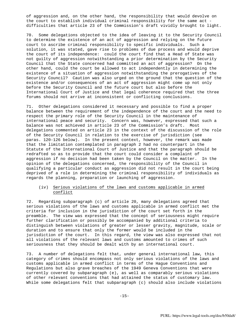of aggression and, on the other hand, the responsibility that would devolve on the court to establish individual criminal responsibility for the same act difficulties that article 23 of the Commission's draft vividly brought to light.

70. Some delegations objected to the idea of leaving it to the Security Council to determine the existence of an act of aggression and relying on the future court to ascribe criminal responsibility to specific individuals. Such a solution, it was stated, gave rise to problems of due process and would deprive the court of its independence: could the court find that a Head of State was not guilty of aggression notwithstanding a prior determination by the Security Council that the State concerned had committed an act of aggression? On the other hand, could the court be allowed to act independently in determining the existence of a situation of aggression notwithstanding the prerogatives of the Security Council? Caution was also urged on the ground that the question of the existence and/or consequences of an act of aggression might come up not only before the Security Council and the future court but also before the International Court of Justice and that legal coherence required that the three forums should not arrive at inconsistent or conflicting conclusions.

71. Other delegations considered it necessary and possible to find a proper balance between the requirement of the independence of the court and the need to respect the primary role of the Security Council in the maintenance of international peace and security. Concern was, however, expressed that such a balance was not achieved in article 23 of the Commission's draft. Most delegations commented on article 23 in the context of the discussion of the role of the Security Council in relation to the exercise of jurisdiction (see paras. 120-126 below). In the present context, however, the remark was made that the limitation contemplated in paragraph 2 had no counterpart in the Statute of the International Court of Justice and that the paragraph should be redrafted so as to provide that the court could consider a complaint of aggression if no decision had been taken by the Council on the matter. In the opinion of the delegations concerned, the responsibility of the Council in qualifying a particular conduct as aggression did not result in the court being deprived of a role in determining the criminal responsibility of individuals as regards the planning, preparation or launching of aggression.

# (iv) Serious violations of the laws and customs applicable in armed conflict

72. Regarding subparagraph (c) of article 20, many delegations agreed that serious violations of the laws and customs applicable in armed conflict met the criteria for inclusion in the jurisdiction of the court set forth in the preamble. The view was expressed that the concept of seriousness might require further clarification or possibly be accompanied by additional criteria to distinguish between violations of greater or lesser gravity, magnitude, scale or duration and to ensure that only the former would be included in the jurisdiction of the court. In this regard, the view was also expressed that not all violations of the relevant laws and customs amounted to crimes of such seriousness that they should be dealt with by an international court.

73. A number of delegations felt that, under general international law, this category of crimes should encompass not only serious violations of the laws and customs applicable in armed conflict in terms of the Hague Conventions and Regulations but also grave breaches of the 1949 Geneva Conventions that were currently covered by subparagraph (e), as well as comparably serious violations of other relevant conventions that had attained the status of customary law. While some delegations felt that subparagraph (c) should also include violations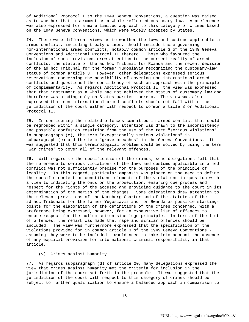of Additional Protocol I to the 1949 Geneva Conventions, a question was raised as to whether that instrument as a whole reflected customary law. A preference was also expressed for a more limited approach to this category of crimes based on the 1949 Geneva Conventions, which were widely accepted by States.

74. There were different views as to whether the laws and customs applicable in armed conflict, including treaty crimes, should include those governing non-international armed conflicts, notably common article 3 of the 1949 Geneva Conventions and Additional Protocol II thereto. Those who favoured the inclusion of such provisions drew attention to the current reality of armed conflicts, the statute of the ad hoc Tribunal for Rwanda and the recent decision of the ad hoc Tribunal for the former Yugoslavia recognizing the customary-law status of common article 3. However, other delegations expressed serious reservations concerning the possibility of covering non-international armed conflicts and questioned the consistency of such an approach with the principle of complementarity. As regards Additional Protocol II, the view was expressed that that instrument as a whole had not achieved the status of customary law and therefore was binding only on States parties thereto. The view was also expressed that non-international armed conflicts should not fall within the jurisdiction of the court either with respect to common article 3 or Additional Protocol II.

75. In considering the related offences committed in armed conflict that could be regrouped within a single category, attention was drawn to the inconsistency and possible confusion resulting from the use of the term "serious violations" in subparagraph (c), the term "exceptionally serious violations" in subparagraph (e) and the term "grave breaches" in the Geneva Conventions. It was suggested that this terminological problem could be solved by using the term "war crimes" to cover all of the relevant offences.

76. With regard to the specification of the crimes, some delegations felt that the reference to serious violations of the laws and customs applicable in armed conflict was not sufficiently precise for the purposes of the principle of legality. In this regard, particular emphasis was placed on the need to define the specific content or constituent elements of the violations in question with a view to indicating the onus on the prosecution, ensuring due process and respect for the rights of the accused and providing guidance to the court in its determination of the merits of the charges. Some delegations drew attention to the relevant provisions of the Nürnberg Charter and of the statutes of the ad hoc Tribunals for the former Yugoslavia and for Rwanda as possible startingpoints for the elaboration of the definitions of the crimes concerned, with a preference being expressed, however, for an exhaustive list of offences to ensure respect for the nullum crimen sine lege principle. In terms of the list of offences, the remark was made that rape and similar offences should be included. The view was furthermore expressed that the specification of the violations provided for in common article 3 of the 1949 Geneva Conventions assuming they were to be included - would need to take into account the absence of any explicit provision for international criminal responsibility in that article.

#### (v) Crimes against humanity

77. As regards subparagraph (d) of article 20, many delegations expressed the view that crimes against humanity met the criteria for inclusion in the jurisdiction of the court set forth in the preamble. It was suggested that the jurisdiction of the court with respect to this category of crimes should be subject to further qualification to ensure a balanced approach in comparison to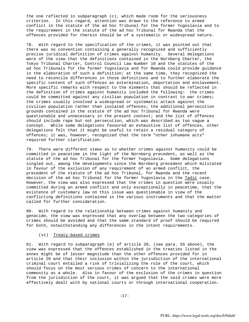the one reflected in subparagraph (c), which made room for the seriousness criterion. In this regard, attention was drawn to the reference to armed conflict in the statute of the ad hoc Tribunal for the former Yugoslavia and to the requirement in the statute of the ad hoc Tribunal for Rwanda that the offences provided for therein should be of a systematic or widespread nature.

78. With regard to the specification of the crimes, it was pointed out that there was no convention containing a generally recognized and sufficiently precise juridical definition of crimes against humanity. Several delegations were of the view that the definitions contained in the Nürnberg Charter, the Tokyo Tribunal Charter, Control Council Law Number 10 and the statutes of the ad hoc Tribunals for the former Yugoslavia and for Rwanda could provide guidance in the elaboration of such a definition; at the same time, they recognized the need to reconcile differences in those definitions and to further elaborate the specific content of such offences as extermination, deportation and enslavement. More specific remarks with respect to the elements that should be reflected in the definition of crimes against humanity included the following: the crimes could be committed against any civilian population in contrast to war crimes; the crimes usually involved a widespread or systematic attack against the civilian population rather than isolated offences; the additional persecution grounds contained in the statute of the ad hoc Tribunal for Rwanda were questionable and unnecessary in the present context; and the list of offences should include rape but not persecution, which was described as too vague a concept. While some delegations favoured an exhaustive list of offences, other delegations felt that it might be useful to retain a residual category of offences; it was, however, recognized that the term "other inhumane acts" required further clarification.

79. There were different views as to whether crimes against humanity could be committed in peacetime in the light of the Nürnberg precedent, as well as the statute of the ad hoc Tribunal for the former Yugoslavia. Some delegations singled out, among the developments since the Nürnberg precedent which militated in favour of the exclusion of any requirement of an armed conflict, the precedent of the statute of the ad hoc Tribunal, for Rwanda and the recent decision of the ad hoc Tribunal for the former Yugoslavia in the Tadić case. However, the view was also expressed that the crimes in question were usually committed during an armed conflict and only exceptionally in peacetime, that the existence of customary law on this issue was questionable in view of the conflicting definitions contained in the various instruments and that the matter called for further consideration.

80. With regard to the relationship between crimes against humanity and genocide, the view was expressed that any overlap between the two categories of crimes should be avoided and that the same standard of proof should be required for both, notwithstanding any differences in the intent requirements.

#### (vi) Treaty-based crimes

81. With regard to subparagraph (e) of article 20, (see para. 55 above), the view was expressed that the offences established in the treaties listed in the annex might be of lesser magnitude than the other offences provided for in article 20 and that their inclusion within the jurisdiction of the international criminal court entailed a risk of trivializing the role of the court, which should focus on the most serious crimes of concern to the international community as a whole. Also in favour of the exclusion of the crimes in question from the jurisdiction of the court, it was argued that the said crimes were more effectively dealt with by national courts or through international cooperation.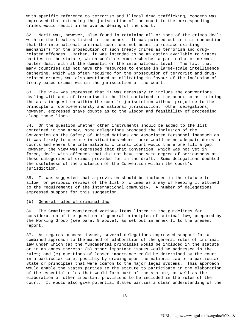With specific reference to terrorism and illegal drug trafficking, concern was expressed that extending the jurisdiction of the court to the corresponding crimes would result in an overburdening of the court.

82. Merit was, however, also found in retaining all or some of the crimes dealt with in the treaties listed in the annex. It was pointed out in this connection that the international criminal court was not meant to replace existing mechanisms for the prosecution of such treaty crimes as terrorism and drugrelated offences. Rather, it was intended to be an option available to States parties to the statute, which would determine whether a particular crime was better dealt with at the domestic or the international level. The fact that many countries did not have the resources to engage in large-scale intelligence gathering, which was often required for the prosecution of terrorist and drugrelated crimes, was also mentioned as militating in favour of the inclusion of treaty-based crimes within the jurisdiction of the court.

83. The view was expressed that it was necessary to include the conventions dealing with acts of terrorism in the list contained in the annex so as to bring the acts in question within the court's jurisdiction without prejudice to the principle of complementarity and national jurisdiction. Other delegations, however, expressed grave doubts as to the wisdom and feasibility of proceeding along those lines.

84. On the question whether other instruments should be added to the list contained in the annex, some delegations proposed the inclusion of the Convention on the Safety of United Nations and Associated Personnel inasmuch as it was likely to operate in situations where there would be no adequate domestic courts and where the international criminal court would therefore fill a gap. However, the view was expressed that that Convention, which was not yet in force, dealt with offences that did not have the same degree of seriousness as those categories of crimes provided for in the draft. Some delegations doubted the usefulness of the inclusion of the Convention within the court's jurisdiction.

85. It was suggested that a provision should be included in the statute to allow for periodic reviews of the list of crimes as a way of keeping it attuned to the requirements of the international community. A number of delegations expressed support for this suggestion.

#### (b) General rules of criminal law

86. The Committee considered various items listed in the guidelines for consideration of the question of general principles of criminal law, prepared by the Working Group (see para. 9 above), as set out in annex II to the present report.

87. As regards process issues, several delegations expressed support for a combined approach to the method of elaboration of the general rules of criminal law under which (a) the fundamental principles would be included in the statute or in an annex thereto; (b) other important issues would be addressed in the rules; and (c) questions of lesser importance could be determined by the court in a particular case, possibly by drawing upon the national law of a particular State or principles that were common to the major legal systems. This approach would enable the States parties to the statute to participate in the elaboration of the essential rules that would form part of the statute, as well as the elaboration of other important provisions to be included in the rules of the court. It would also give potential States parties a clear understanding of the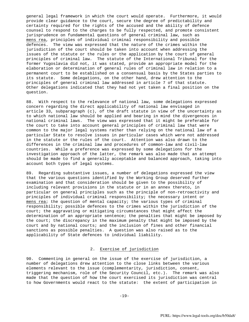general legal framework in which the court would operate. Furthermore, it would provide clear guidance to the court, secure the degree of predictability and certainty required for the rights of the accused and the ability of defence counsel to respond to the charges to be fully respected, and promote consistent jurisprudence on fundamental questions of general criminal law, such as mens rea, principles of individual criminal responsibility and possible defences. The view was expressed that the nature of the crimes within the jurisdiction of the court should be taken into account when addressing the issues of the statute or the rules or the application by the court of general principles of criminal law. The statute of the International Tribunal for the former Yugoslavia did not, it was stated, provide an appropriate model for the elaboration or determination of general rules of criminal law in relation to a permanent court to be established on a consensual basis by the States parties to its statute. Some delegations, on the other hand, drew attention to the principles of general criminal law addressed in article 7 of that statute. Other delegations indicated that they had not yet taken a final position on the question.

88. With respect to the relevance of national law, some delegations expressed concern regarding the direct applicability of national law envisaged in article 33, subparagraph (c), of the draft statute in view of the uncertainty as to which national law should be applied and bearing in mind the divergences in national criminal laws. The view was expressed that it might be preferable for the court to take into account general principles of criminal law that were common to the major legal systems rather than relying on the national law of a particular State to resolve issues in particular cases which were not addressed in the statute or the rules of the court. Attention was also drawn to the differences in the criminal law and procedures of common-law and civil-law countries. While a preference was expressed by some delegations for the investigation approach of the latter, the remark was also made that an attempt should be made to find a generally acceptable and balanced approach, taking into account both types of legal systems.

89. Regarding substantive issues, a number of delegations expressed the view that the various questions identified by the Working Group deserved further examination and that consideration should be given to the possibility of including relevant provisions in the statute or in an annex thereto, in particular on general principles such as the principle of non-retroactivity and principles of individual criminal responsibility; the necessary intent or mens rea; the question of mental capacity; the various types of criminal responsibility; possible defences to the crimes within the jurisdiction of the court; the aggravating or mitigating circumstances that might affect the determination of an appropriate sentence; the penalties that might be imposed by the court; the discrepancy in the maximum penalty that might be imposed by the court and by national courts; and the inclusion of fines and other financial sanctions as possible penalties. A question was also raised as to the applicability of State defences to individual liability.

# 2. Exercise of jurisdiction

90. Commenting in general on the issue of the exercise of jurisdiction, a number of delegations drew attention to the close links between the various elements relevant to the issue (complementarity, jurisdiction, consent, triggering mechanism, role of the Security Council, etc.). The remark was also made that the question of how the court exercised its jurisdiction was central to how Governments would react to the statute: the extent of participation in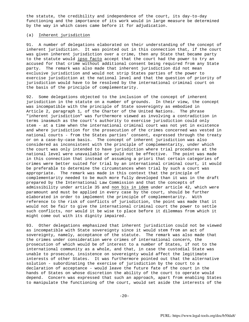the statute, the credibility and independence of the court, its day-to-day functioning and the importance of its work would in large measure be determined by the way in which cases came before it for adjudication.

#### (a) Inherent jurisdiction

91. A number of delegations elaborated on their understanding of the concept of inherent jurisdiction. It was pointed out in this connection that, if the court was given inherent jurisdiction over a crime, then any State that became party to the statute would ipso facto accept that the court had the power to try an accused for that crime without additional consent being required from any State party. The remark was also made that inherent jurisdiction did not mean exclusive jurisdiction and would not strip States parties of the power to exercise jurisdiction at the national level and that the question of priority of jurisdiction would have to be resolved by the international criminal court on the basis of the principle of complementarity.

92. Some delegations objected to the inclusion of the concept of inherent jurisdiction in the statute on a number of grounds. In their view, the concept was incompatible with the principle of State sovereignty as embodied in Article 2, paragraph 1, of the Charter of the United Nations. The phrase "inherent jurisdiction" was furthermore viewed as involving a contradiction in terms inasmuch as the court's authority to exercise jurisdiction could only stem - at a time when the international criminal court was not yet in existence and where jurisdiction for the prosecution of the crimes concerned was vested in national courts - from the States parties' consent, expressed through the treaty or on a case-by-case basis. The concept of inherent jurisdiction was also considered as inconsistent with the principle of complementarity, under which the court was only intended to have jurisdiction where trial procedures at the national level were unavailable or would not be effective. The point was made in this connection that instead of assuming a priori that certain categories of crimes were better suited for trial by an international criminal court, it would be preferable to determine the circumstances when trial by such a court was appropriate. The remark was made in this context that the principle of complementarity needed to be much more fully developed than it was in the draft prepared by the International Law Commission and that the concepts of admissibility under article 35 and non bis in idem under article 42, which were paramount and must be applied in every case by the court, should be further elaborated in order to implement the principle of complementarity. With reference to the risk of conflicts of jurisdiction, the point was made that it would not be fair to give the international criminal court the power to settle such conflicts, nor would it be wise to place before it dilemmas from which it might come out with its dignity impaired.

93. Other delegations emphasized that inherent jurisdiction could not be viewed as incompatible with State sovereignty since it would stem from an act of sovereignty, namely, acceptance of the statute. The remark was also made that the crimes under consideration were crimes of international concern, the prosecution of which would be of interest to a number of States, if not to the international community as a whole, and that, in case the custodial State was unable to prosecute, insistence on sovereignty would affect the legitimate interests of other States. It was furthermore pointed out that the alternative solution - subordinating the exercise of jurisdiction by the court to a declaration of acceptance - would leave the future fate of the court in the hands of States on whose discretion the ability of the court to operate would depend. Concern was expressed that such an approach, apart from enabling States to manipulate the functioning of the court, would set aside the interests of the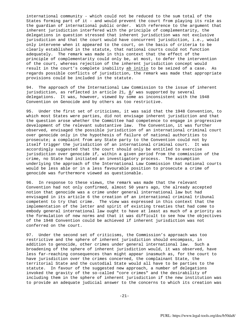international community - which could not be reduced to the sum total of the States forming part of it - and would prevent the court from playing its role as the guardian of international public order. With reference to the argument that inherent jurisdiction interfered with the principle of complementarity, the delegations in question stressed that inherent jurisdiction was not exclusive jurisdiction and that the court would have concurrent jurisdiction, i.e., would only intervene when it appeared to the court, on the basis of criteria to be clearly established in the statute, that national courts could not function adequately. The remark was made in this context that the effect of the principle of complementarity could only be, at most, to defer the intervention of the court, whereas rejection of the inherent jurisdiction concept would result in the court's complete inability ab initio to be seized of a case. As regards possible conflicts of jurisdiction, the remark was made that appropriate provisions could be included in the statute.

94. The approach of the International Law Commission to the issue of inherent jurisdiction, as reflected in article 21, 8/ was supported by several delegations. It was, however, viewed by some as inconsistent with the 1948 Convention on Genocide and by others as too restrictive.

95. Under the first set of criticisms, it was said that the 1948 Convention, to which most States were parties, did not envisage inherent jurisdiction and that the question arose whether the Committee had competence to engage in progressive development of the relevant substantive law. The Convention, it was further observed, envisaged the possible jurisdiction of an international criminal court over genocide only in the hypothesis of failure of national authorities to prosecute; a complaint from any State party to the Convention could not by itself trigger the jurisdiction of an international criminal court. It was accordingly suggested that the court should only be entitled to exercise jurisdiction over genocide if, within a given period from the commission of the crime, no State had initiated an investigatory process. The assumption underlying the approach of the International Law Commission that national courts would be less able or in a less favourable position to prosecute a crime of genocide was furthermore viewed as questionable.

96. In response to these views, the remark was made that the relevant Convention had not only confirmed, almost 50 years ago, the already accepted notion that genocide was a crime under general international law but had envisaged in its article 6 the creation of an international criminal tribunal competent to try that crime. The view was expressed in this context that the implementation of the letter and spirit of existing treaties that had come to embody general international law ought to have at least as much of a priority as the formulation of new norms and that it was difficult to see how the objectives of the 1948 Convention could be achieved if inherent jurisdiction was not conferred on the court.

97. Under the second set of criticisms, the Commission's approach was too restrictive and the sphere of inherent jurisdiction should encompass, in addition to genocide, other crimes under general international law. Such a broadening of the sphere of inherent jurisdiction would, it was observed, have less far-reaching consequences than might appear inasmuch as, for the court to have jurisdiction over the crimes concerned, the complainant State, the territorial State and the custodial State would all have to be parties to the statute. In favour of the suggested new approach, a number of delegations invoked the gravity of the so-called "core crimes" and the desirability of including them in the sphere of inherent jurisdiction if the new institution was to provide an adequate judicial answer to the concerns to which its creation was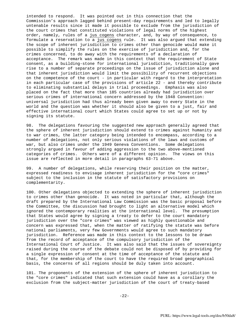intended to respond. It was pointed out in this connection that the Commission's approach lagged behind present-day requirements and led to legally untenable results since it made it possible to exclude from the jurisdiction of the court crimes that constituted violations of legal norms of the highest order, namely, rules of a jus cogens character, and, by way of consequence, to formulate a reservation to a jus cogens rule. It was also argued that extending the scope of inherent jurisdiction to crimes other than genocide would make it possible to simplify the rules on the exercise of jurisdiction and, for the crimes concerned, to do away with the requirements of a declaration of acceptance. The remark was made in this context that the requirement of State consent, as a building-stone for international jurisdiction, traditionally gave rise to a number of separate proceedings on the issue of jurisdiction alone and that inherent jurisdiction would limit the possibility of recurrent objections on the competence of the court - in particular with regard to the interpretation in each particular case of the provisions of article 22 - and thereby contribute to eliminating substantial delays in trial proceedings. Emphasis was also placed on the fact that more than 185 countries already had jurisdiction over serious crimes of international concern addressed by the 1948 Convention: universal jurisdiction had thus already been given away to every State in the world and the question was whether it should also be given to a just, fair and effective international court which States could agree to set up or not by signing its statute.

98. The delegations favouring the suggested new approach generally agreed that the sphere of inherent jurisdiction should extend to crimes against humanity and to war crimes, the latter category being intended to encompass, according to a number of delegations, not only serious violations of the laws and customs of war, but also crimes under the 1949 Geneva Conventions. Some delegations strongly argued in favour of adding aggression to the two above-mentioned categories of crimes. Others were of a different opinion. The views on this issue are reflected in more detail in paragraphs 63-71 above.

99. A number of delegations, while reserving their position on the matter, expressed readiness to envisage inherent jurisdiction for the "core crimes" subject to the inclusion in the statute of satisfactory provisions on complementarity.

100. Other delegations objected to extending the sphere of inherent jurisdiction to crimes other than genocide. It was noted in particular that, although the draft prepared by the International Law Commission was the basic proposal before the Committee, the discussion had brought to light an alternative model which ignored the contemporary realities at the international level. The presumption that States would agree by signing a treaty to defer to the court mandatory jurisdiction over the "core crimes" was viewed as highly questionable and concern was expressed that, when the matter of ratifying the statute was before national parliaments, very few Governments would agree to such mandatory jurisdiction. Reference was made in this context to the lessons to be drawn from the record of acceptance of the compulsory jurisdiction of the International Court of Justice. It was also said that the issues of sovereignty raised during the course of the debate could not be disposed of by providing for a single expression of consent at the time of acceptance of the statute and that, for the membership of the court to have the required broad geographical basis, the concerns of all regions should be duly taken into account.

101. The proponents of the extension of the sphere of inherent jurisdiction to the "core crimes" indicated that such extension could have as a corollary the exclusion from the subject-matter jurisdiction of the court of treaty-based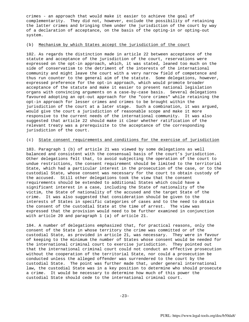crimes - an approach that would make it easier to achieve the goal of complementarity. They did not, however, exclude the possibility of retaining the latter crimes and bringing them under the jurisdiction of the court by way of a declaration of acceptance, on the basis of the opting-in or opting-out system.

# (b) Mechanism by which States accept the jurisdiction of the court

102. As regards the distinction made in article 22 between acceptance of the statute and acceptance of the jurisdiction of the court, reservations were expressed on the opt-in approach, which, it was stated, leaned too much on the side of conservatism to the detriment of the interests of the international community and might leave the court with a very narrow field of competence and thus run counter to the general aim of the statute. Some delegations, however, expressed preference for the opt-in approach, which would promote broader acceptance of the statute and make it easier to present national legislation organs with convincing arguments on a case-by-case basis. Several delegations favoured adopting an opt-out approach for the "core crimes" while retaining the opt-in approach for lesser crimes and crimes to be brought within the jurisdiction of the court at a later stage. Such a combination, it was argued, would give the court a jurisdiction of reasonable scope and make it more responsive to the current needs of the international community. It was also suggested that article 22 should make it clear whether ratification of the relevant treaty was a prerequisite to the acceptance of the corresponding jurisdiction of the court.

#### (c) State consent requirements and conditions for the exercise of jurisdiction

103. Paragraph 1 (b) of article 21 was viewed by some delegations as well balanced and consistent with the consensual basis of the court's jurisdiction. Other delegations felt that, to avoid subjecting the operation of the court to undue restrictions, the consent requirement should be limited to the territorial State, which had a particular interest in the prosecution of the case, or to the custodial State, whose consent was necessary for the court to obtain custody of the accused. Still other delegations took the view that the consent requirements should be extended to additional States which could have a significant interest in a case, including the State of nationality of the victim, the State of nationality of the accused and the target State of the crime. It was also suggested that consideration should be given to the interests of States in specific categories of cases and to the need to obtain the consent of the custodial State at the time of arrest. The view was expressed that the provision would need to be further examined in conjunction with article 20 and paragraph 1 (a) of article 21.

104. A number of delegations emphasized that, for practical reasons, only the consent of the State in whose territory the crime was committed or of the custodial State, as provided in article 21, was necessary. They were in favour of keeping to the minimum the number of States whose consent would be needed for the international criminal court to exercise jurisdiction. They pointed out that the international criminal court could not conduct an effective prosecution without the cooperation of the territorial State, nor could a prosecution be conducted unless the alleged offender was surrendered to the court by the custodial State. The point was further made that, under general international law, the custodial State was in a key position to determine who should prosecute a crime. It would be necessary to determine how much of this power the custodial State should cede to the international criminal court.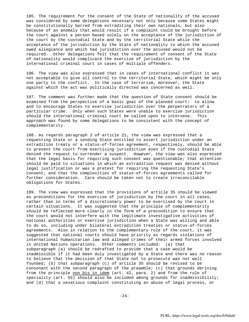105. The requirement for the consent of the State of nationality of the accused was considered by some delegations necessary not only because some States might be constitutionally barred from extraditing their own nationals, but also because of an anomaly that would result if a complaint could be brought before the court against a person based solely on the acceptance of the jurisdiction of the court by the custodial State and by the territorial State while the acceptance of the jurisdiction by the State of nationality to which the accused owed allegiance and which had jurisdiction over the accused would not be required. Other delegations felt that the requirement of consent of the State of nationality would complicate the exercise of jurisdiction by the international criminal court in cases of multiple offenders.

106. The view was also expressed that in cases of international conflict it was not acceptable to give all control to the territorial State, which might be only one party to the conflict. In the case of terrorism, moreover, the State against which the act was politically directed was concerned as well.

107. The comment was further made that the question of State consent should be examined from the perspective of a basic goal of the planned court: to allow and to encourage States to exercise jurisdiction over the perpetrators of a particular crime. Only when such States were unable to exercise jurisdiction should the international criminal court be called upon to intervene. This approach was found by some delegations to be consistent with the concept of complementarity.

108. As regards paragraph 2 of article 21, the view was expressed that a requesting State or a sending State entitled to assert jurisdiction under an extradition treaty or a status-of-forces agreement, respectively, should be able to prevent the court from exercising jurisdiction even if the custodial State denied the request to surrender a suspect. However, the view was also expressed that the legal basis for requiring such consent was questionable; that attention should be paid to situations in which an extradition request was denied without legal justification or was a pretext for requiring the requesting State's consent; and that the complexities of status-of-forces agreements called for further consideration. Care should be taken not to create irreconcilable obligations for States.

109. The view was expressed that the provisions of article 35 should be viewed as preconditions for the exercise of jurisdiction by the court in all cases, rather than in terms of a discretionary power to be exercised by the court in certain situations. It was suggested that the principle of complementarity should be reflected more clearly in the form of a precondition to ensure that the court would not interfere with the legitimate investigative activities of national authorities or exercise jurisdiction when a State was willing and able to do so, including under bilateral extradition treaties or status-of-forces agreements. Also in relation to the complementary role of the court, it was suggested that national courts should have priority as regards violations of international humanitarian law and alleged crimes of their armed forces involved in United Nations operations. Other comments included: (a) that subparagraph (a) should be redrafted to provide that a case would be inadmissible if it had been duly investigated by a State and there was no reason to believe that the decision of that State not to prosecute was not well founded; (b) that subparagraph (c) of article 35 should be revised to be consonant with the second paragraph of the preamble; (c) that grounds deriving from the principle non bis in idem (art. 42, para. 2) and from the rule of speciality (art. 55) should also be included among grounds for inadmissibility; and (d) that a vexatious complaint constituting an abuse of legal process, or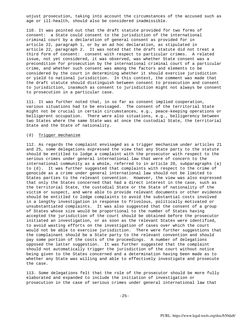unjust prosecution, taking into account the circumstances of the accused such as age or ill-health, should also be considered inadmissible.

110. It was pointed out that the draft statute provided for two forms of consent: a State could consent to the jurisdiction of the international criminal court by a declaration of general consent as provided for in article 22, paragraph 1, or by an ad hoc declaration, as stipulated in article 22, paragraph 2. It was noted that the draft statute did not treat a third form of consent: consent with respect to particular crimes. A related issue, not yet considered, it was observed, was whether State consent was a precondition for prosecution by the international criminal court of a particular crime, and whether such consent was among the factors and elements to be considered by the court in determining whether it should exercise jurisdiction or yield to national jurisdiction. In this context, the comment was made that the draft statute should distinguish between consent to prosecution and consent to jurisdiction, inasmuch as consent to jurisdiction might not always be consent to prosecution in a particular case.

111. It was further noted that, in so far as consent implied cooperation, various situations had to be envisaged. The consent of the territorial State might not be crucial in certain circumstances, e.g., peace-keeping operations or belligerent occupation. There were also situations, e.g., belligerency between two States where the same State was at once the custodial State, the territorial State and the State of nationality.

#### (d) Trigger mechanism

112. As regards the complaint envisaged as a trigger mechanism under articles 21 and 25, some delegations expressed the view that any State party to the statute should be entitled to lodge a complaint with the prosecutor with respect to the serious crimes under general international law that were of concern to the international community as a whole, referred to in article 20, subparagraphs (a) to (d). It was further suggested that complaints with respect to the crime of genocide as a crime under general international law should not be limited to States parties to the relevant convention. However, the view was also expressed that only the States concerned that had a direct interest in the case, such as the territorial State, the custodial State or the State of nationality of the victim or suspect, and were able to provide relevant documents or other evidence should be entitled to lodge complaints to avoid the substantial costs involved in a lengthy investigation in response to frivolous, politically motivated or unsubstantiated complaints. It was also suggested that the consent of a group of States whose size would be proportional to the number of States having accepted the jurisdiction of the court should be obtained before the prosecutor initiated an investigation, or as soon as the relevant States were identified, to avoid wasting efforts on the investigation of cases over which the court would not be able to exercise jurisdiction. There were further suggestions that the complainant should be a State party to the relevant convention and should pay some portion of the costs of the proceedings. A number of delegations opposed the latter suggestion. It was further suggested that the complaint should not automatically trigger the jurisdiction of the court without notice being given to the States concerned and a determination having been made as to whether any State was willing and able to effectively investigate and prosecute the case.

113. Some delegations felt that the role of the prosecutor should be more fully elaborated and expanded to include the initiation of investigation or prosecution in the case of serious crimes under general international law that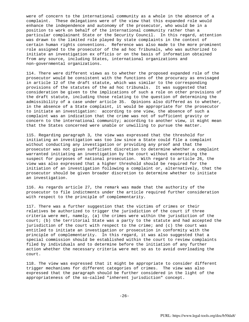were of concern to the international community as a whole in the absence of a complaint. These delegations were of the view that this expanded role would enhance the independence and autonomy of the prosecutor, who would be in a position to work on behalf of the international community rather than a particular complainant State or the Security Council. In this regard, attention was drawn to the limited role played by state complaints in the context of certain human rights conventions. Reference was also made to the more prominent role assigned to the prosecutor of the ad hoc Tribunals, who was authorized to initiate an investigation ex officio or on the basis of information obtained from any source, including States, international organizations and non-governmental organizations.

114. There were different views as to whether the proposed expanded role of the prosecutor would be consistent with the functions of the procuracy as envisaged in article 12 of the draft statute, which was similar to the corresponding provisions of the statutes of the ad hoc tribunals. It was suggested that consideration be given to the implications of such a role on other provisions of the draft statute, including those relating to the question of determining the admissibility of a case under article 35. Opinions also differed as to whether, in the absence of a State complaint, it would be appropriate for the prosecutor to initiate an investigation: according to one view, the absence of such a complaint was an indication that the crime was not of sufficient gravity or concern to the international community; according to another view, it might mean that the States concerned were unable or unwilling to pursue the matter.

115. Regarding paragraph 3, the view was expressed that the threshold for initiating an investigation was too low since a State could file a complaint without conducting any investigation or providing any proof and that the prosecutor was not given sufficient discretion to determine whether a complaint warranted initiating an investigation by the court without exonerating the suspect for purposes of national prosecution. With regard to article 26, the view was also expressed that a higher threshold should be required for the initiation of an investigation following a complaint or, alternatively, that the prosecutor should be given broader discretion to determine whether to initiate an investigation.

116. As regards article 27, the remark was made that the authority of the prosecutor to file indictments under the article required further consideration with respect to the principle of complementarity.

117. There was a further suggestion that the victims of crimes or their relatives be authorized to trigger the jurisdiction of the court if three criteria were met, namely, (a) the crimes were within the jurisdiction of the court; (b) the territorial State was a party to the statute and had accepted the jurisdiction of the court with respect to the crime; and (c) the court was entitled to initiate an investigation or prosecution in conformity with the principle of complementarity. In this regard, it was also suggested that a special commission should be established within the court to review complaints filed by individuals and to determine before the initiation of any further action whether the necessary criteria were met so as to avoid overloading the court.

118. The view was expressed that it might be appropriate to consider different trigger mechanisms for different categories of crimes. The view was also expressed that the paragraph should be further considered in the light of the appropriateness of the so-called "inherent jurisdiction" concept.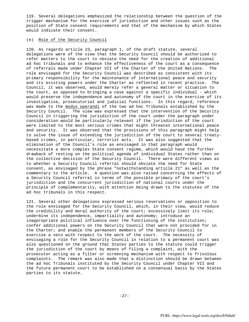119. Several delegations emphasized the relationship between the question of the trigger mechanism for the exercise of jurisdiction and other issues such as the position of State consent requirements and that of the mechanism by which States would indicate their consent.

#### (e) Role of the Security Council

120. As regards article 23, paragraph 1, of the draft statute, several delegations were of the view that the Security Council should be authorized to refer matters to the court to obviate the need for the creation of additional ad hoc tribunals and to enhance the effectiveness of the court as a consequence of referrals made under Chapter VII of the Charter of the United Nations. The role envisaged for the Security Council was described as consistent with its primary responsibility for the maintenance of international peace and security and its existing powers under the Charter as reflected in recent practice. The Council, it was observed, would merely refer a general matter or situation to the court, as opposed to bringing a case against a specific individual - which would preserve the independence and autonomy of the court in the exercise of its investigative, prosecutorial and judicial functions. In this regard, reference was made to the modus operandi of the two ad hoc Tribunals established by the Security Council. The view was expressed that the intervention of the Security Council in triggering the jurisdiction of the court under the paragraph under consideration would be particularly relevant if the jurisdiction of the court were limited to the most serious crimes that might threaten international peace and security. It was observed that the provisions of this paragraph might help to solve the issue of extending the jurisdiction of the court to several treatybased crimes, in particular, terrorist acts. It was also suggested that the elimination of the Council's role as envisaged in that paragraph would necessitate a more complex State consent regime, which would have the further drawback of resting on the political agenda of individual States rather than on the collective decision of the Security Council. There were different views as to whether a Security Council referral should obviate the need for State consent, as envisaged by the phrase "notwithstanding article 21" as well as the commentary to the article. A question was also raised concerning the effects of a Security Council referral in terms of the possible primacy of the court's jurisdiction and the concurrent jurisdiction of national courts under the principle of complementarity, with attention being drawn to the statutes of the ad hoc tribunals in this respect.

121. Several other delegations expressed serious reservations or opposition to the role envisaged for the Security Council, which, in their view, would reduce the credibility and moral authority of the court; excessively limit its role; undermine its independence, impartiality and autonomy; introduce an inappropriate political influence over the functioning of the institution; confer additional powers on the Security Council that were not provided for in the Charter; and enable the permanent members of the Security Council to exercise a veto with respect to the work of the court. The necessity of envisaging a role for the Security Council in relation to a permanent court was also questioned on the ground that States parties to the statute could trigger the jurisdiction of the court by means of filing a complaint, with the prosecutor acting as a filter or screening mechanism with respect to frivolous complaints. The remark was also made that a distinction should be drawn between the ad hoc Tribunals instituted by the Security Council under Chapter VII and the future permanent court to be established on a consensual basis by the States parties to its statute.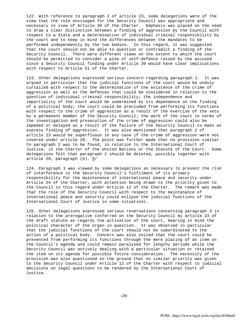122. With reference to paragraph 2 of article 23, some delegations were of the view that the role envisaged for the Security Council was appropriate and necessary in view of Article 39 of the Charter. Emphasis was placed on the need to draw a clear distinction between a finding of aggression by the Council with respect to a State and a determination of individual criminal responsibility by the court and to keep in mind the differences between the mandates to be performed independently by the two bodies. In this regard, it was suggested that the court should not be able to question or contradict a finding of the Security Council. There were different views on the extent to which the court should be permitted to consider a plea of self-defence raised by the accused since a Security Council finding under Article 39 would have clear implications with respect to Article 51 of the Charter.

123. Other delegations expressed serious concern regarding paragraph 2. It was argued in particular that the judicial functions of the court would be unduly curtailed with respect to the determination of the existence of the crime of aggression as well as the defences that could be considered in relation to the question of individual criminal responsibility; the independence and impartiality of the court would be undermined by its dependence on the finding of a political body; the court could be precluded from performing its functions with respect to the crime of aggression as a result of the exercise of the veto by a permanent member of the Security Council; the work of the court in terms of the investigation and prosecution of the crime of aggression could also be impeded or delayed as a result of the failure of the Security Council to make an express finding of aggression. It was also mentioned that paragraph 2 of article 23 would be superfluous in any case if the crime of aggression were not covered under article 20. The point was further made that no provision similar to paragraph 2 was to be found, in relation to the International Court of Justice, in the Charter of the United Nations or the Statute of the Court. Some delegations felt that paragraph 2 should be deleted, possibly together with article 20, paragraph  $(b)$ .  $9/$ 

124. Paragraph 3 was viewed by some delegations as necessary to prevent the risk of interference in the Security Council's fulfilment of its primary responsibility for the maintenance of international peace and security under Article 24 of the Charter, with attention being drawn to the priority given to the Council in this regard under Article 12 of the Charter. The remark was made that the role of the Security Council with respect to the maintenance of international peace and security could eclipse the judicial functions of the International Court of Justice in some situations.

125. Other delegations expressed serious reservations concerning paragraph 3 in relation to the prerogative conferred on the Security Council by article 23 of the draft statute as regards the activation of the court, bearing in mind the political character of the organ in question. It was observed in particular that the judicial functions of the court should not be subordinated to the action of a political body. Concern was also voiced that the court could be prevented from performing its functions through the mere placing of an item on the Council's agenda and could remain paralysed for lengthy periods while the Security Council was actively dealing with a particular situation or retained the item on its agenda for possible future consideration. The necessity of the provision was also questioned on the ground that no similar priority was given to the Security Council under Article 12 of the Charter with respect to judicial decisions on legal questions to be rendered by the International Court of Justice.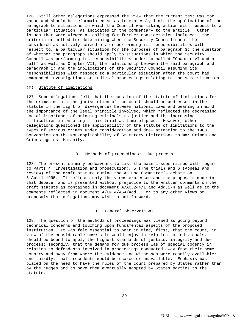126. Still other delegations expressed the view that the current text was too vague and should be reformulated so as to expressly limit the application of the paragraph to situations in which the Council was taking action with respect to a particular situation, as indicated in the commentary to the article. Other issues that were viewed as calling for further consideration included: the criteria or method for determining when the Security Council should be considered as actively seized of, or performing its responsibilities with respect to, a particular situation for the purposes of paragraph 3; the question of whether the paragraph should apply to situations in which the Security Council was performing its responsibilities under so-called "Chapter VI and a half" as well as Chapter VII; the relationship between the said paragraph and paragraph 1; and the implications of the Security Council assuming its responsibilities with respect to a particular situation after the court had commenced investigations or judicial proceedings relating to the same situation.

#### (f) Statute of limitations

127. Some delegations felt that the question of the statute of limitations for the crimes within the jurisdiction of the court should be addressed in the statute in the light of divergences between national laws and bearing in mind the importance of the legal principle involved, which reflected the decreasing social importance of bringing criminals to justice and the increasing difficulties in ensuring a fair trial as time elapsed. However, other delegations questioned the applicability of the statute of limitations to the types of serious crimes under consideration and drew attention to the 1968 Convention on the Non-applicability of Statutory Limitations to War Crimes and Crimes against Humanity.

#### D. Methods of proceedings: due process

128. The present summary endeavours to list the main issues raised with regard to Parts 4 (Investigation and prosecution), 5 (The trial) and 6 (Appeal and review) of the draft statute during the Ad Hoc Committee's debate on 6 April 1995. It reflects only the views expressed and the proposals made in that debate, and is presented without prejudice to the written comments on the draft statute as contained in document A/AC.244/1 and Add.1-4 as well as to the comments reflected in document A/CN.4/464/Add.1, or to any other views or proposals that delegations may wish to put forward.

#### 1. General observations

129. The question of the methods of proceedings was viewed as going beyond technical concerns and touching upon fundamental aspects of the proposed institution. It was felt essential to bear in mind, first, that the court, in view of the considerable powers it would enjoy in relation to individuals, should be bound to apply the highest standards of justice, integrity and due process; secondly, that the demand for due process was of special cogency in relation to defendants involved in proceedings conducted away from their home country and away from where the evidence and witnesses were readily available; and thirdly, that precedents would be scarce or unavailable. Emphasis was placed on the need to have the rules of the court prepared by States rather than by the judges and to have them eventually adopted by States parties to the statute.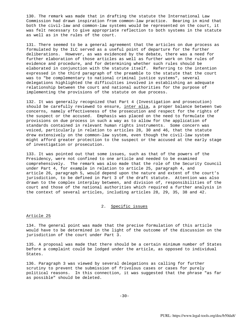130. The remark was made that in drafting the statute the International Law Commission had drawn inspiration from common-law practice. Bearing in mind that both the civil-law and common-law systems would be represented on the court, it was felt necessary to give appropriate reflection to both systems in the statute as well as in the rules of the court.

131. There seemed to be a general agreement that the articles on due process as formulated by the ILC served as a useful point of departure for the further deliberations. However, as was evidenced by the debate, there was a need for further elaboration of those articles as well as further work on the rules of evidence and procedure, and for determining whether such rules should be elaborated in conjunction with the statute itself. Referring to the intention expressed in the third paragraph of the preamble to the statute that the court was to "be complementary to national criminal justice systems", several delegations highlighted the difficulties involved in establishing an adequate relationship between the court and national authorities for the purpose of implementing the provisions of the statute on due process.

132. It was generally recognized that Part 4 (Investigation and prosecution) should be carefully reviewed to ensure, inter alia, a proper balance between two concerns, namely effectiveness of the prosecution and respect for the rights of the suspect or the accused. Emphasis was placed on the need to formulate the provisions on due process in such a way as to allow for the application of standards contained in relevant human rights instruments. Some concern was voiced, particularly in relation to articles 28, 30 and 46, that the statute drew extensively on the common-law system, even though the civil-law system might afford greater protection to the suspect or the accused at the early stage of investigation or prosecution.

133. It was pointed out that some issues, such as that of the powers of the Presidency, were not confined to one article and needed to be examined comprehensively. The remark was also made that the role of the Security Council under Part 4, for example in relation to article 25, paragraph 4, and article 26, paragraph 5, would depend upon the nature and extent of the court's jurisdiction, to be defined in Part 3 of the draft statute. Attention was also drawn to the complex interplay between, and division of, responsibilities of the court and those of the national authorities which required a further analysis in the context of several articles, including articles 28, 29, 35, 38 and 42.

### 2. Specific issues

#### Article 25

134. The general point was made that the precise formulation of this article would have to be determined in the light of the outcome of the discussion on the jurisdiction of the court under Part 3.

135. A proposal was made that there should be a certain minimum number of States before a complaint could be lodged under the article, as opposed to individual States.

136. Paragraph 3 was viewed by several delegations as calling for further scrutiny to prevent the submission of frivolous cases or cases for purely political reasons. In this connection, it was suggested that the phrase "as far as possible" should be deleted.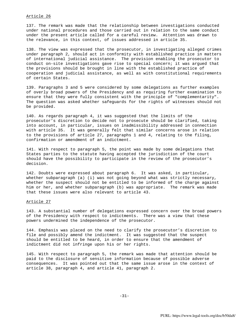137. The remark was made that the relationship between investigations conducted under national procedures and those carried out in relation to the same conduct under the present article called for a careful review. Attention was drawn to the relevance, in this context, of issues addressed in article 35.

138. The view was expressed that the prosecutor, in investigating alleged crimes under paragraph 2, should act in conformity with established practice in matters of international judicial assistance. The provision enabling the prosecutor to conduct on-site investigations gave rise to special concern; it was argued that the provisions should be brought in line with the established practice of cooperation and judicial assistance, as well as with constitutional requirements of certain States.

139. Paragraphs 3 and 5 were considered by some delegations as further examples of overly broad powers of the Presidency and as requiring further examination to ensure that they were fully consistent with the principle of "complementarity". The question was asked whether safeguards for the rights of witnesses should not be provided.

140. As regards paragraph 4, it was suggested that the limits of the prosecutor's discretion to decide not to prosecute should be clarified, taking into account, in particular, issues on inadmissibility addressed in connection with article 35. It was generally felt that similar concerns arose in relation to the provisions of article 27, paragraphs 1 and 4, relating to the filing, confirmation or amendment of an indictment.

141. With respect to paragraph 5, the point was made by some delegations that States parties to the statute having accepted the jurisdiction of the court should have the possibility to participate in the review of the prosecutor's decision.

142. Doubts were expressed about paragraph 6. It was asked, in particular, whether subparagraph (a) (i) was not going beyond what was strictly necessary, whether the suspect should not be entitled to be informed of the charge against him or her, and whether subparagraph (b) was appropriate. The remark was made that these issues were also relevant to article 43.

#### Article 27

143. A substantial number of delegations expressed concern over the broad powers of the Presidency with respect to indictments. There was a view that these powers undermined the independence of the prosecutor.

144. Emphasis was placed on the need to clarify the prosecutor's discretion to file and possibly amend the indictment. It was suggested that the suspect should be entitled to be heard, in order to ensure that the amendment of indictment did not infringe upon his or her rights.

145. With respect to paragraph 5, the remark was made that attention should be paid to the disclosure of sensitive information because of possible adverse consequences. It was pointed out that the same issue arose in the context of article 38, paragraph 4, and article 41, paragraph 2.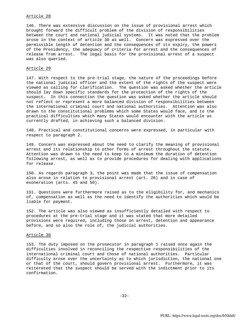146. There was extensive discussion on the issue of provisional arrest which brought forward the difficult problem of the division of responsibilities between the court and national judicial systems. It was noted that the problem arose in the context of article 30 as well. Concern was expressed over the permissible length of detention and the consequences of its expiry, the powers of the Presidency, the adequacy of criteria for arrest and the consequences of release from arrest. The legal basis for the provisional arrest of a suspect was also queried.

#### Article 29

147. With respect to the pre-trial stage, the nature of the proceedings before the national judicial officer and the extent of the rights of the suspect were viewed as calling for clarification. The question was asked whether the article should lay down specific standards for the protection of the rights of the suspect. In this connection the question was asked whether the article should not reflect or represent a more balanced division of responsibilities between the international criminal court and national authorities. Attention was also drawn to the constitutional problems which some States would face, and to the practical difficulties which many States would encounter with the article as currently drafted, in achieving such a balanced division.

148. Practical and constitutional concerns were expressed, in particular with respect to paragraph 2.

149. Concern was expressed about the need to clarify the meaning of provisional arrest and its relationship to other forms of arrest throughout the statute. Attention was drawn to the need to keep to a minimum the duration of detention following arrest, as well as to provide procedures for dealing with applications for release.

150. As regards paragraph 3, the point was made that the issue of compensation also arose in relation to provisional arrest (art. 28) and in case of exoneration (arts. 45 and 50).

151. Questions were furthermore raised as to the eligibility for, and mechanics of, compensation as well as the need to identify the authorities which would be liable for payment.

152. The article was also viewed as insufficiently detailed with respect to procedures at the pre-trial stage and it was stated that more detailed provisions were required, including those on arrest, detention and appearance before, and so also the role of, the judicial authorities.

#### Article 30

153. The duty imposed on the prosecutor in paragraph 1 raised once again the difficulties involved in reconciling the respective responsibilities of the international criminal court and those of national authorities. Particular difficulty arose over the uncertainty as to which jurisdiction, the national one or that of the court, should govern provisional arrest. Furthermore, it was reiterated that the suspect should be served with the indictment prior to its confirmation.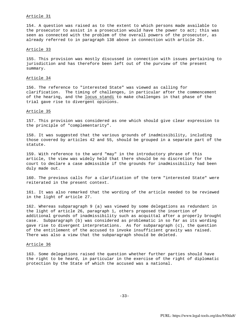154. A question was raised as to the extent to which persons made available to the prosecutor to assist in a prosecution would have the power to act; this was seen as connected with the problem of the overall powers of the prosecutor, as already referred to in paragraph 138 above in connection with article 26.

#### Article 33

155. This provision was mostly discussed in connection with issues pertaining to jurisdiction and has therefore been left out of the purview of the present summary.

#### Article 34

156. The reference to "interested State" was viewed as calling for clarification. The timing of challenges, in particular after the commencement of the hearing, and the locus standi to make challenges in that phase of the trial gave rise to divergent opinions.

#### Article 35

157. This provision was considered as one which should give clear expression to the principle of "complementarity".

158. It was suggested that the various grounds of inadmissibility, including those covered by articles 42 and 55, should be grouped in a separate part of the statute.

159. With reference to the word "may" in the introductory phrase of this article, the view was widely held that there should be no discretion for the court to declare a case admissible if the grounds for inadmissibility had been duly made out.

160. The previous calls for a clarification of the term "interested State" were reiterated in the present context.

161. It was also remarked that the wording of the article needed to be reviewed in the light of article 27.

162. Whereas subparagraph 9 (a) was viewed by some delegations as redundant in the light of article 26, paragraph 1, others proposed the insertion of additional grounds of inadmissibility such as acquittal after a properly brought case. Subparagraph (b) was considered as problematic in so far as its wording gave rise to divergent interpretations. As for subparagraph (c), the question of the entitlement of the accused to invoke insufficient gravity was raised. There was also a view that the subparagraph should be deleted.

#### Article 36

163. Some delegations raised the question whether further parties should have the right to be heard, in particular in the exercise of the right of diplomatic protection by the State of which the accused was a national.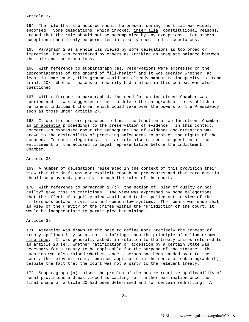164. The rule that the accused should be present during the trial was widely endorsed. Some delegations, which invoked, inter alia, constitutional reasons, argued that the rule should not be accompanied by any exceptions. For others, exceptions should only be permitted in clearly specified circumstances.

165. Paragraph 2 as a whole was viewed by some delegations as too broad or imprecise, but was considered by others as striking an adequate balance between the rule and the exceptions.

166. With reference to subparagraph (a), reservations were expressed on the appropriateness of the ground of "ill-health" and it was queried whether, at least in some cases, this ground would not already amount to incapacity to stand trial. 10/ Whether reasons of security had a place in this context was also questioned.

167. With reference to paragraph 4, the need for an Indictment Chamber was queried and it was suggested either to delete the paragraph or to establish a permanent indictment chamber which would take over the powers of the Presidency such as those under article 27.

168. It was furthermore proposed to limit the function of an Indictment Chamber in in absentia proceedings to the preservation of evidence. In this context, concern was expressed about the subsequent use of evidence and attention was drawn to the desirability of providing safeguards to protect the rights of the accused. To some delegations, this article also raised the question of the entitlement of the accused to legal representation before the Indictment Chamber.

#### Article 38

169. A number of delegations reiterated in the context of this provision their view that the draft was not explicit enough on procedures and that more details should be provided, possibly through the rules of the court.

170. With reference to paragraph 1 (d), the notion of "plea of guilty or not guilty" gave rise to criticisms. The view was expressed by some delegations that the effect of a guilty plea would need to be spelled out in view of the differences between civil-law and common-law systems. The remark was made that, in view of the gravity of the crimes within the jurisdiction of the court, it would be inappropriate to permit plea bargaining.

#### Article 39

171. Attention was drawn to the need to define more precisely the concept of treaty applicability so as not to infringe upon the principle of nullum crimen sine lege. It was generally asked, in relation to the treaty crimes referred to in article 20 (e), whether ratification or accession by a certain State was necessary for a treaty to be applicable for the purpose of the statute. The question was also raised whether, once a person had been handed over to the court, the relevant treaty remained applicable in the sense of subparagraph (b), despite the fact that the court was not a party to the relevant treaty.

172. Subparagraph (a) raised the problem of the non-retroactive applicability of penal provisions and was viewed as calling for further examination once the final shape of article 20 had been determined and for certain redrafting. A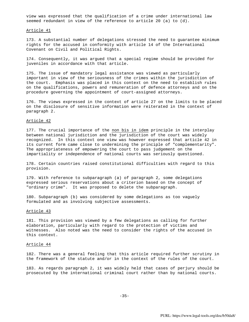view was expressed that the qualification of a crime under international law seemed redundant in view of the reference to article 20 (a) to (d).

#### Article 41

173. A substantial number of delegations stressed the need to guarantee minimum rights for the accused in conformity with article 14 of the International Covenant on Civil and Political Rights.

174. Consequently, it was argued that a special regime should be provided for juveniles in accordance with that article.

175. The issue of mandatory legal assistance was viewed as particularly important in view of the seriousness of the crimes within the jurisdiction of the court. Emphasis was placed in this context on the need to establish rules on the qualifications, powers and remuneration of defence attorneys and on the procedure governing the appointment of court-assigned attorneys.

176. The views expressed in the context of article 27 on the limits to be placed on the disclosure of sensitive information were reiterated in the context of paragraph 2.

#### Article 42

177. The crucial importance of the non bis in idem principle in the interplay between national jurisdiction and the jurisdiction of the court was widely recognized. In this context one view was however expressed that article 42 in its current form came close to undermining the principle of "complementarity". The appropriateness of empowering the court to pass judgement on the impartiality or independence of national courts was seriously questioned.

178. Certain countries raised constitutional difficulties with regard to this provision.

179. With reference to subparagraph (a) of paragraph 2, some delegations expressed serious reservations about a criterion based on the concept of "ordinary crime". It was proposed to delete the subparagraph.

180. Subparagraph (b) was considered by some delegations as too vaguely formulated and as involving subjective assessments.

#### Article 43

181. This provision was viewed by a few delegations as calling for further elaboration, particularly with regard to the protection of victims and witnesses. Also noted was the need to consider the rights of the accused in this context.

#### Article 44

182. There was a general feeling that this article required further scrutiny in the framework of the statute and/or in the context of the rules of the court.

183. As regards paragraph 2, it was widely held that cases of perjury should be prosecuted by the international criminal court rather than by national courts.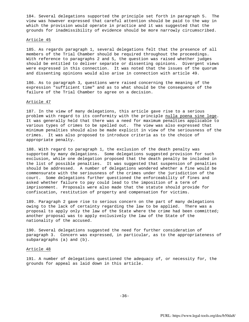184. Several delegations supported the principle set forth in paragraph 5. The view was however expressed that careful attention should be paid to the way in which the provision would operate in practice and it was suggested that the grounds for inadmissibility of evidence should be more narrowly circumscribed.

#### Article 45

185. As regards paragraph 1, several delegations felt that the presence of all members of the Trial Chamber should be required throughout the proceedings. With reference to paragraphs 2 and 5, the question was raised whether judges should be entitled to deliver separate or dissenting opinions. Divergent views were expressed in this connection. It was noted that the issues of the quorum and dissenting opinions would also arise in connection with article 49.

186. As to paragraph 3, questions were raised concerning the meaning of the expression "sufficient time" and as to what should be the consequence of the failure of the Trial Chamber to agree on a decision.

#### Article 47

187. In the view of many delegations, this article gave rise to a serious problem with regard to its conformity with the principle nulla poena sine lege. It was generally held that there was a need for maximum penalties applicable to various types of crimes to be spelled out. The view was also expressed that minimum penalties should also be made explicit in view of the seriousness of the crimes. It was also proposed to introduce criteria as to the choice of appropriate penalty.

188. With regard to paragraph 1, the exclusion of the death penalty was supported by many delegations. Some delegations suggested provision for such exclusion, while one delegation proposed that the death penalty be included in the list of possible penalties. It was suggested that suspension of penalties should be addressed. A number of delegations wondered whether a fine would be commensurate with the seriousness of the crimes under the jurisdiction of the court. Some delegations further questioned the enforceability of fines and asked whether failure to pay could lead to the imposition of a term of imprisonment. Proposals were also made that the statute should provide for confiscation, restitution of property and compensation for victims.

189. Paragraph 2 gave rise to serious concern on the part of many delegations owing to the lack of certainty regarding the law to be applied. There was a proposal to apply only the law of the State where the crime had been committed; another proposal was to apply exclusively the law of the State of the nationality of the accused.

190. Several delegations suggested the need for further consideration of paragraph 3. Concern was expressed, in particular, as to the appropriateness of subparagraphs (a) and (b).

#### Article 48

191. A number of delegations questioned the adequacy of, or necessity for, the grounds for appeal as laid down in this article.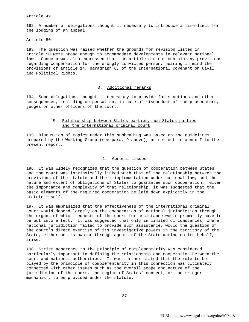192. A number of delegations thought it necessary to introduce a time-limit for the lodging of an appeal.

#### Article 50

193. The question was raised whether the grounds for revision listed in article 50 were broad enough to accommodate developments in relevant national law. Concern was also expressed that the article did not contain any provisions regarding compensation for the wrongly convicted person, bearing in mind the provisions of article 14, paragraph 6, of the International Covenant on Civil and Political Rights.

# 3. Additional remarks

194. Some delegations thought it necessary to provide for sanctions and other consequences, including compensation, in case of misconduct of the prosecutors, judges or other officers of the court.

### E. Relationship between States parties, non-States parties and the international criminal court

195. Discussion of topics under this subheading was based on the guidelines prepared by the Working Group (see para. 9 above), as set out in annex I to the present report.

#### 1. General issues

196. It was widely recognized that the question of cooperation between States and the court was intrinsically linked with that of the relationship between the provisions of the statute and their implementation under national law, and the nature and extent of obligations of States to guarantee such cooperation. Given the importance and complexity of that relationship, it was suggested that the basic elements of the required cooperation be laid down explicitly in the statute itself.

197. It was emphasized that the effectiveness of the international criminal court would depend largely on the cooperation of national jurisdiction through the organs of which requests of the court for assistance would primarily have to be put into effect. It was suggested that only in limited circumstances, where national jurisdiction failed to provide such assistance, would the question of the court's direct exercise of its investigative powers in the territory of the State, either on its own or through agents of the State acting on its behalf, arise.

198. Strict adherence to the principle of complementarity was considered particularly important in defining the relationship and cooperation between the court and national authorities. It was further stated that the role to be played by the principle of complementarity in this connection was ultimately connected with other issues such as the overall scope and nature of the jurisdiction of the court, the regime of States' consent, or the trigger mechanism, to be provided under the statute.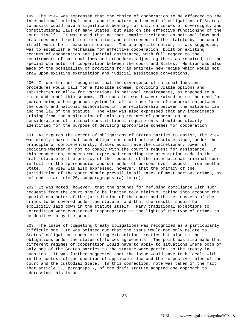199. The view was expressed that the choice of cooperation to be afforded to the international criminal court and the nature and extent of obligations of States to assist would have a significant bearing not only on issues of sovereignty and constitutional laws of many States, but also on the effective functioning of the court itself. It was noted that neither complete reliance on national laws and practices nor direct implementation and enforcement of the statute by the court itself would be a reasonable option. The appropriate option, it was suggested, was to establish a mechanism for effective cooperation, built on existing regimes of cooperation and judicial assistance, with full regard to the requirements of national laws and procedure, adjusting them, as required, to the special character of cooperation between the court and States. Mention was also made of the possibility of providing for an entirely new regime which would not draw upon existing extradition and judicial assistance conventions.

200. It was further recognized that the divergence of national laws and procedures would call for a flexible scheme, providing viable options and sub-schemes to allow for variations in national requirements, as opposed to a rigid and monolithic scheme. The question was however raised as to the need for guaranteeing a homogeneous system for all or some forms of cooperation between the court and national authorities in the relationship between the national law and the law of the statute. The view was also expressed that any impediments arising from the application of existing regimes of cooperation or considerations of national constitutional requirements should be clearly identified for the purpose of devising appropriate schemes for cooperation.

201. As regards the extent of obligations of States parties to assist, the view was widely shared that such obligations could not be absolute since, under the principle of complementarity, States would have the discretionary power of deciding whether or not to comply with the court's request for assistance. In this connection, concern was expressed regarding the presumption made in the draft statute of the primacy of the requests of the international criminal court in full for the apprehension and surrender of persons over requests from another State. The view was also expressed, however, that the primacy of the jurisdiction of the court should prevail in all cases of most serious crimes, as defined in article 20, subparagraphs (a) to (d).

202. It was noted, however, that the grounds for refusing compliance with such requests from the court should be limited to a minimum, taking into account the special character of the jurisdiction of the court and the seriousness of the crimes to be covered under the statute, and that the results should be explicitly laid down in the statute itself. Many traditional exceptions to extradition were considered inappropriate in the light of the type of crimes to be dealt with by the court.

203. The issue of competing treaty obligations was recognized as a particularly difficult one. It was pointed out that the issue would not only relate to States' obligations under existing extradition treaties but also to the obligations under the status-of-forces agreements. The point was also made that different regimes of cooperation would have to apply to situations where both or only one of the States parties to the statute were parties to the treaty in question. It was further suggested that the issue would have to be dealt with in the context of the question of applicable law and the respective roles of the court and the custodial State. In this connection, note was taken of the fact that article 21, paragraph 2, of the draft statute adopted one approach to addressing this issue.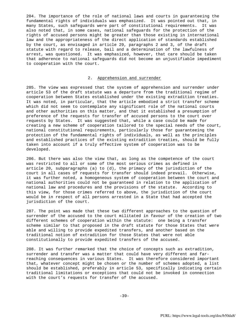204. The importance of the role of national laws and courts in guaranteeing the fundamental rights of individuals was emphasized. It was pointed out that, in many States, such safeguards were part of constitutional requirements. It was also noted that, in some cases, national safeguards for the protection of the rights of accused persons might be greater than those existing in international law and the appropriateness of the direct application of standards established by the court, as envisaged in article 29, paragraphs 2 and 3, of the draft statute with regard to release, bail and a determination of the lawfulness of arrest, was questioned. It was emphasized, however, that care should be taken that adherence to national safeguards did not become an unjustifiable impediment to cooperation with the court.

#### 2. Apprehension and surrender

205. The view was expressed that the system of apprehension and surrender under article 53 of the draft statute was a departure from the traditional regime of cooperation between States established under the existing extradition treaties. It was noted, in particular, that the article embodied a strict transfer scheme which did not seem to contemplate any significant role of the national courts and other authorities on this matter, and that it established a presumption of preference of the requests for transfer of accused persons to the court over requests by States. It was suggested that, while a case could be made for creating a new scheme of cooperation tailored to the special needs of the court, national constitutional requirements, particularly those for guaranteeing the protection of the fundamental rights of individuals, as well as the principles and established practices of the existing extradition treaties, should be fully taken into account if a truly effective system of cooperation was to be developed.

206. But there was also the view that, as long as the competence of the court was restricted to all or some of the most serious crimes as defined in article 20, subparagraphs (a) to (d), the primacy of the jurisdiction of the court in all cases of requests for transfer should indeed prevail. Otherwise, it was further noted, a homogeneous system of cooperation between the court and national authorities could not be guaranteed in relation to the application of national law and procedures and the provisions of the statute. According to this view, for those crimes referred to above, the jurisdiction of the court would be in respect of all persons arrested in a State that had accepted the jurisdiction of the court.

207. The point was made that these two different approaches to the question of surrender of the accused to the court militated in favour of the creation of two different schemes of cooperation within the statute: one being a transfer scheme similar to that proposed in the draft statute for those States that were able and willing to provide expedited transfers, and another based on the traditional notion of extradition for those States that were not able constitutionally to provide expedited transfers of the accused.

208. It was further remarked that the choice of concepts such as extradition, surrender and transfer was a matter that could have very different and farreaching consequences in various States. It was therefore considered important that, whatever concept might be chosen or the number of schemes adopted, a list should be established, preferably in article 53, specifically indicating certain traditional limitations or exceptions that could not be invoked in connection with the court's requests for transfer of the accused.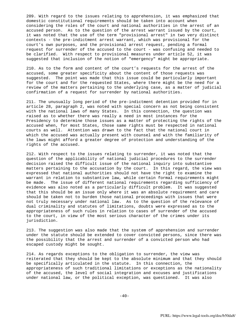209. With regard to the issues relating to apprehension, it was emphasized that domestic constitutional requirements should be taken into account when considering the roles of the court and national authorities in the arrest of an accused person. As to the question of the arrest warrant issued by the court, it was noted that the use of the term "provisional arrest" in two very distinct contexts - the pre-indictment arrest warrant, which was provisional for the court's own purposes, and the provisional arrest request, pending a formal request for surrender of the accused to the court - was confusing and needed to be clarified. With respect to provisional measures under article 52, it was suggested that inclusion of the notion of "emergency" might be appropriate.

210. As to the form and content of the court's requests for the arrest of the accused, some greater specificity about the content of those requests was suggested. The point was made that this issue could be particularly important for the court and for the requested States, where there might be the need for a review of the matters pertaining to the underlying case, as a matter of judicial confirmation of a request for surrender by national authorities.

211. The unusually long period of the pre-indictment detention provided for in article 28, paragraph 2, was noted with special concern as not being consistent with the national laws of many States. In this connection, the question was raised as to whether there was really a need in most instances for the Presidency to determine those issues as a matter of protecting the rights of the accused when, for most States, those same rights must be respected in national courts as well. Attention was drawn to the fact that the national court in which the accused was actually present with counsel and with the familiarity of the laws might afford a greater degree of protection and understanding of the rights of the accused.

212. With respect to the issues relating to surrender, it was noted that the question of the applicability of national judicial procedures to the surrender decision raised the difficult issue of the national inquiry into substantive matters pertaining to the accusation by the court. In this regard, the view was expressed that national authorities should not have the right to examine the warrant in relation to substantive law, while certain formal requirements might be made. The issue of different national requirements regarding sufficiency of evidence was also noted as a particularly difficult problem. It was suggested that this should be an issue only where it was an absolute requirement and care should be taken not to burden those national proceedings with issues that were not truly necessary under national law. As to the question of the relevance of dual criminality and statutes of limitations, doubts were expressed as to the appropriateness of such rules in relation to cases of surrender of the accused to the court, in view of the most serious character of the crimes under its jurisdiction.

213. The suggestion was also made that the system of apprehension and surrender under the statute should be extended to cover convicted persons, since there was the possibility that the arrest and surrender of a convicted person who had escaped custody might be sought.

214. As regards exceptions to the obligation to surrender, the view was reiterated that they should be kept to the absolute minimum and that they should be specifically articulated in the statute. In this connection, the appropriateness of such traditional limitations or exceptions as the nationality of the accused, the level of social integration and excuses and justifications under national law, or the political exception, was questioned. It was also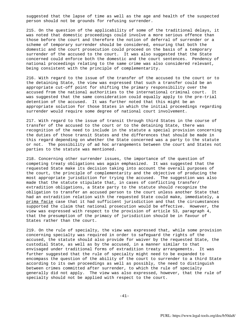suggested that the lapse of time as well as the age and health of the suspected person should not be grounds for refusing surrender.

215. On the question of the applicability of some of the traditional delays, it was noted that domestic proceedings could involve a more serious offence than those before the court and therefore the notion of deferral of surrender or a scheme of temporary surrender should be considered, ensuring that both the domestic and the court prosecution could proceed on the basis of a temporary surrender of the accused to the court. It was also suggested that the State concerned could enforce both the domestic and the court sentences. Pendency of national proceedings relating to the same crime was also considered relevant, being consistent with the principle of complementarity.

216. With regard to the issue of the transfer of the accused to the court or to the detaining State, the view was expressed that such a transfer could be an appropriate cut-off point for shifting the primary responsibility over the accused from the national authorities to the international criminal court. It was suggested that the same consideration could equally apply to the pre-trial detention of the accused. It was further noted that this might be an appropriate solution for those States in which the initial proceedings regarding surrender would require some degree of national court involvement.

217. With regard to the issue of transit through third States in the course of transfer of the accused to the court or to the detaining State, there was recognition of the need to include in the statute a special provision concerning the duties of those transit States and the differences that should be made in this regard depending on whether the State concerned was a party to the statute or not. The possibility of ad hoc arrangements between the court and States not parties to the statute was mentioned.

218. Concerning other surrender issues, the importance of the question of competing treaty obligations was again emphasized. It was suggested that the requested State make its decision taking into account the overall purposes of the court, the principle of complementarity and the objective of producing the most appropriate jurisdiction for trying the accused. The suggestion was also made that the statute stipulate that, in cases of conflicting transfer/ extradition obligations, a State party to the statute should recognize the obligation to transfer an accused person to the court unless another State that had an extradition relation with the requested State could make, immediately, a prima facie case that it had sufficient jurisdiction and that the circumstances supported the claim that national prosecution would be effective. However, the view was expressed with respect to the provision of article 53, paragraph 4, that the presumption of the primacy of jurisdiction should be in favour of States rather than the court.

219. On the rule of specialty, the view was expressed that, while some provision concerning specialty was required in order to safeguard the rights of the accused, the statute should also provide for waiver by the requested State, the custodial State, as well as by the accused, in a manner similar to that envisaged under traditional forms of extradition treaty arrangements. It was further suggested that the rule of specialty might need to be expanded to encompass the question of the ability of the court to surrender to a third State according to its own proceedings as well as possibly, the need to distinguish between crimes committed after surrender, to which the rule of specialty generally did not apply. The view was also expressed, however, that the rule of specialty should not be applied with respect to the court.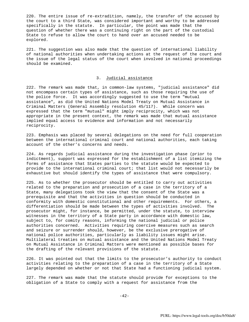220. The entire issue of re-extradition, namely, the transfer of the accused by the court to a third State, was considered important and worthy to be addressed specifically in the statute. In particular, the point was made that the question of whether there was a continuing right on the part of the custodial State to refuse to allow the court to hand over an accused needed to be explored.

221. The suggestion was also made that the question of international liability of national authorities when undertaking actions at the request of the court and the issue of the legal status of the court when involved in national proceedings should be examined.

# 3. Judicial assistance

222. The remark was made that, in common-law systems, "judicial assistance" did not encompass certain types of assistance, such as those requiring the use of the police force. It was accordingly suggested to use the term "mutual assistance", as did the United Nations Model Treaty on Mutual Assistance in Criminal Matters (General Assembly resolution 45/117). While concern was expressed that the term "mutual" might imply reciprocity, which was not appropriate in the present context, the remark was made that mutual assistance implied equal access to evidence and information and not necessarily reciprocity.

223. Emphasis was placed by several delegations on the need for full cooperation between the international criminal court and national authorities, each taking account of the other's concerns and needs.

224. As regards judicial assistance during the investigation phase (prior to indictment), support was expressed for the establishment of a list itemizing the forms of assistance that States parties to the statute would be expected to provide to the international criminal court; that list would not necessarily be exhaustive but should identify the types of assistance that were compulsory.

225. As to whether the prosecutor should be entitled to carry out activities related to the preparation and prosecution of a case in the territory of a State, many delegations took the view that the consent of the State was a prerequisite and that the activities in question should be conducted in conformity with domestic constitutional and other requirements. For others, a differentiation should be made between the types of activities involved. The prosecutor might, for instance, be permitted, under the statute, to interview witnesses in the territory of a State party in accordance with domestic law, subject to, for comity reasons, informing the national judicial or police authorities concerned. Activities requiring coercive measures such as search and seizure or surrender should, however, be the exclusive prerogative of national police authorities, particularly as liability issues might arise. Multilateral treaties on mutual assistance and the United Nations Model Treaty on Mutual Assistance in Criminal Matters were mentioned as possible bases for the drafting of the relevant provisions of the statute.

226. It was pointed out that the limits to the prosecutor's authority to conduct activities relating to the preparation of a case in the territory of a State largely depended on whether or not that State had a functioning judicial system.

227. The remark was made that the statute should provide for exceptions to the obligation of a State to comply with a request for assistance from the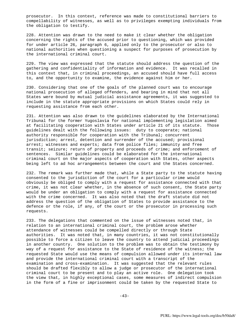prosecutor. In this context, reference was made to constitutional barriers to compellability of witnesses, as well as to privileges exempting individuals from the obligation to testify.

228. Attention was drawn to the need to make it clear whether the obligation concerning the rights of the accused prior to questioning, which was provided for under article 26, paragraph 6, applied only to the prosecutor or also to national authorities when questioning a suspect for purposes of prosecution by the international criminal court.

229. The view was expressed that the statute should address the question of the gathering and confidentiality of information and evidence. It was recalled in this context that, in criminal proceedings, an accused should have full access to, and the opportunity to examine, the evidence against him or her.

230. Considering that one of the goals of the planned court was to encourage national prosecution of alleged offenders, and bearing in mind that not all States were bound by mutual judicial assistance agreements, it was suggested to include in the statute appropriate provisions on which States could rely in requesting assistance from each other.

231. Attention was also drawn to the guidelines elaborated by the International Tribunal for the former Yugoslavia for national implementing legislation aimed at facilitating cooperation with States under article 21 of its statute. Those guidelines dealt with the following issues: duty to cooperate; national authority responsible for cooperation with the Tribunal; concurrent jurisdiction; arrest, detention and surrender of the accused; provisional arrest; witnesses and experts; data from police files; immunity and free transit; seizure; return of property and proceeds of crime; and enforcement of sentences. Similar guidelines could be elaborated for the international criminal court on the major aspects of cooperation with States, other aspects being left to ad hoc arrangements between the court and the States concerned.

232. The remark was further made that, while a State party to the statute having consented to the jurisdiction of the court for a particular crime would obviously be obliged to comply with a request for assistance connected with that crime, it was not clear whether, in the absence of such consent, the State party would be under an obligation to comply with a request for assistance connected with the crime concerned. It was also noted that the draft statute did not address the question of the obligation of States to provide assistance to the defence or the role, if any, of the court or the prosecutor in processing such requests.

233. The delegations that commented on the issue of witnesses noted that, in relation to an international criminal court, the problem arose whether attendance of witnesses could be compelled directly or through State authorities. It was noted that, in many countries, it was not constitutionally possible to force a citizen to leave the country to attend judicial proceedings in another country. One solution to the problem was to obtain the testimony by way of a request for assistance to the State of residence of the witness; the requested State would use the means of compulsion allowed under its internal law and provide the international criminal court with a transcript of the examination and cross-examination. It was suggested that the relevant rules should be drafted flexibly to allow a judge or prosecutor of the international criminal court to be present and to play an active role. One delegation took the view that, in highly exceptional cases, some measures of indirect compulsion in the form of a fine or imprisonment could be taken by the requested State to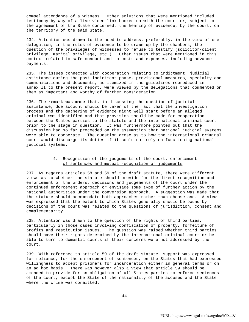compel attendance of a witness. Other solutions that were mentioned included testimony by way of a live video link hooked up with the court or, subject to the agreement of the State concerned, the hearing of evidence, by the court, on the territory of the said State.

234. Attention was drawn to the need to address, preferably, in the view of one delegation, in the rules of evidence to be drawn up by the chambers, the question of the privileges of witnesses to refuse to testify (solicitor-client privilege, marital privilege, etc.). Other issues that were mentioned in this context related to safe conduct and to costs and expenses, including advance payments.

235. The issues connected with cooperation relating to indictment, judicial assistance during the post-indictment phase, provisional measures, specialty and communications and documents, as itemized in the guidelines reproduced in annex II to the present report, were viewed by the delegations that commented on them as important and worthy of further consideration.

236. The remark was made that, in discussing the question of judicial assistance, due account should be taken of the fact that the investigation process and the gathering of evidence might well start before an alleged criminal was identified and that provision should be made for cooperation between the States parties to the statute and the international criminal court prior to the stage in question. It was furthermore pointed out that the discussion had so far proceeded on the assumption that national judicial systems were able to cooperate. The question arose as to how the international criminal court would discharge its duties if it could not rely on functioning national judicial systems.

# 4. Recognition of the judgements of the court, enforcement of sentences and mutual recognition of judgements

237. As regards articles 58 and 59 of the draft statute, there were different views as to whether the statute should provide for the direct recognition and enforcement of the orders, decisions and judgements of the court under the continued enforcement approach or envisage some type of further action by the national authorities under the conversion approach. A suggestion was made that the statute should accommodate both approaches rather than choose one. A view was expressed that the extent to which States generally should be bound by decisions of the court was related to the questions of jurisdiction, consent and complementarity.

238. Attention was drawn to the question of the rights of third parties, particularly in those cases involving confiscation of property, forfeiture of profits and restitution issues. The question was raised whether third parties should have their rights determined by the international criminal court or be able to turn to domestic courts if their concerns were not addressed by the court.

239. With reference to article 59 of the draft statute, support was expressed for reliance, for the enforcement of sentences, on the States that had expressed willingness to accept prisoners for incarceration either in general terms or on an ad hoc basis. There was however also a view that article 59 should be amended to provide for an obligation of all States parties to enforce sentences of the court, except the State of the nationality of the accused and the State where the crime was committed.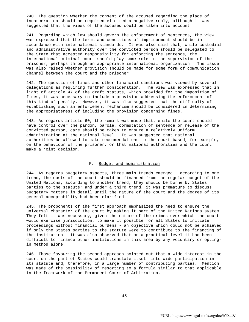240. The question whether the consent of the accused regarding the place of incarceration should be required elicited a negative reply, although it was suggested that the views of the accused could be taken into account.

241. Regarding which law should govern the enforcement of sentences, the view was expressed that the terms and conditions of imprisonment should be in accordance with international standards. It was also said that, while custodial and administrative authority over the convicted person should be delegated to the State that accepted responsibility for enforcing the sentence, the international criminal court should play some role in the supervision of the prisoner, perhaps through an appropriate international organization. The issue was also raised whether provision should be made for some form of communication channel between the court and the prisoner.

242. The question of fines and other financial sanctions was viewed by several delegations as requiring further consideration. The view was expressed that in light of article 47 of the draft statute, which provided for the imposition of fines, it was necessary to include a provision addressing the enforcement of this kind of penalty. However, it was also suggested that the difficulty of establishing such an enforcement mechanism should be considered in determining the appropriateness of including the provision concerning fines.

243. As regards article 60, the remark was made that, while the court should have control over the pardon, parole, commutation of sentence or release of the convicted person, care should be taken to ensure a relatively uniform administration at the national level. It was suggested that national authorities be allowed to make recommendations to the court based, for example, on the behaviour of the prisoner, or that national authorities and the court make a joint decision.

# F. Budget and administration

244. As regards budgetary aspects, three main trends emerged: according to one trend, the costs of the court should be financed from the regular budget of the United Nations; according to another trend, they should be borne by States parties to the statute; and under a third trend, it was premature to discuss budgetary matters in detail until the nature of the court and the degree of its general acceptability had been clarified.

245. The proponents of the first approach emphasized the need to ensure the universal character of the court by making it part of the United Nations system. They felt it was necessary, given the nature of the crimes over which the court would exercise jurisdiction, to make it possible for all States to initiate proceedings without financial burdens - an objective which could not be achieved if only the States parties to the statute were to contribute to the financing of the institution. It was also observed that on a practical level it had been difficult to finance other institutions in this area by any voluntary or optingin method alone.

246. Those favouring the second approach pointed out that a wide interest in the court on the part of States would translate itself into wide participation in its statute and, therefore, in a large number of contributing parties. Mention was made of the possibility of resorting to a formula similar to that applicable in the framework of the Permanent Court of Arbitration.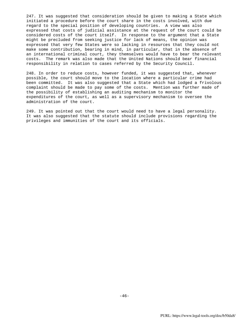247. It was suggested that consideration should be given to making a State which initiated a procedure before the court share in the costs involved, with due regard to the special position of developing countries. A view was also expressed that costs of judicial assistance at the request of the court could be considered costs of the court itself. In response to the argument that a State might be precluded from seeking justice for lack of means, the opinion was expressed that very few States were so lacking in resources that they could not make some contribution, bearing in mind, in particular, that in the absence of an international criminal court, they themselves would have to bear the relevant costs. The remark was also made that the United Nations should bear financial responsibility in relation to cases referred by the Security Council.

248. In order to reduce costs, however funded, it was suggested that, whenever possible, the court should move to the location where a particular crime had been committed. It was also suggested that a State which had lodged a frivolous complaint should be made to pay some of the costs. Mention was further made of the possibility of establishing an auditing mechanism to monitor the expenditures of the court, as well as a supervisory mechanism to oversee the administration of the court.

249. It was pointed out that the court would need to have a legal personality. It was also suggested that the statute should include provisions regarding the privileges and immunities of the court and its officials.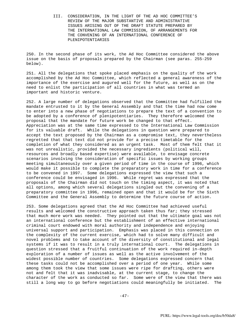III. CONSIDERATION, IN THE LIGHT OF THE AD HOC COMMITTEE'S REVIEW OF THE MAJOR SUBSTANTIVE AND ADMINISTRATIVE ISSUES ARISING OUT OF THE DRAFT STATUTE PREPARED BY THE INTERNATIONAL LAW COMMISSION, OF ARRANGEMENTS FOR THE CONVENING OF AN INTERNATIONAL CONFERENCE OF PLENIPOTENTIARIES

250. In the second phase of its work, the Ad Hoc Committee considered the above issue on the basis of proposals prepared by the Chairman (see paras. 255-259 below).

251. All the delegations that spoke placed emphasis on the quality of the work accomplished by the Ad Hoc Committee, which reflected a general awareness of the importance of the exercise and augured well for the future, as well as on the need to enlist the participation of all countries in what was termed an important and historic venture.

252. A large number of delegations observed that the Committee had fulfilled the mandate entrusted to it by the General Assembly and that the time had now come to enter into a new phase of negotiations to prepare the text of a convention to be adopted by a conference of plenipotentiaries. They therefore welcomed the proposal that the mandate for future work be changed to that effect. Appreciation was at the same time expressed to the International Law Commission for its valuable draft. While the delegations in question were prepared to accept the text proposed by the Chairman as a compromise text, they nevertheless regretted that that text did not provide for a precise timetable for the completion of what they considered as an urgent task. Most of them felt that it was not unrealistic, provided the necessary ingredients (political will, resources and broadly based expertise) were available, to envisage concrete scenarios involving the consideration of specific issues by working groups meeting simultaneously over a given period of time in the course of 1996, which would make it possible to complete the preparatory work in time for a conference to be convened in 1997. Some delegations expressed the view that such a conference could be envisaged in 1996. While regret was expressed that the proposals of the Chairman did not touch on the timing aspect, it was noted that all options, among which several delegations singled out the convening of a preparatory committee in 1996, remained open and that it would be for the Sixth Committee and the General Assembly to determine the future course of action.

253. Some delegations agreed that the Ad Hoc Committee had achieved useful results and welcomed the constructive approach taken thus far; they stressed that much more work was needed. They pointed out that the ultimate goal was not an international conference but the establishment of an effective international criminal court endowed with moral authority and independence and enjoying universal support and participation. Emphasis was placed in this connection on the complexity of the current exercise, which had to solve many difficult and novel problems and to take account of the diversity of constitutional and legal systems if it was to result in a truly international court. The delegations in question stressed that a fruitful continuation of the work required in-depth exploration of a number of issues as well as the active involvement of the widest possible number of countries. Some delegations expressed concern that these tasks could not be accomplished over a period of one year. While some among them took the view that some issues were ripe for drafting, others were not and felt that it was inadvisable, at the current stage, to change the character of the work as conducted so far. Some were of the view that there was still a long way to go before negotiations could meaningfully be initiated. The

 $-47-$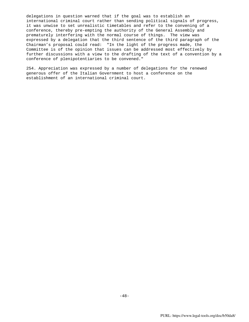delegations in question warned that if the goal was to establish an international criminal court rather than sending political signals of progress, it was unwise to set unrealistic timetables and refer to the convening of a conference, thereby pre-empting the authority of the General Assembly and prematurely interfering with the normal course of things. The view was expressed by a delegation that the third sentence of the third paragraph of the Chairman's proposal could read: "In the light of the progress made, the Committee is of the opinion that issues can be addressed most effectively by further discussions with a view to the drafting of the text of a convention by a conference of plenipotentiaries to be convened."

254. Appreciation was expressed by a number of delegations for the renewed generous offer of the Italian Government to host a conference on the establishment of an international criminal court.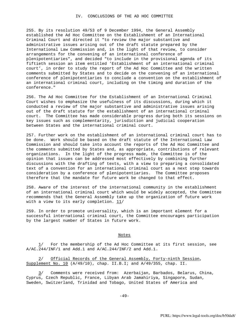#### IV. CONCLUSIONS OF THE AD HOC COMMITTEE

255. By its resolution 49/53 of 9 December 1994, the General Assembly established the Ad Hoc Committee on the Establishment of an International Criminal Court and directed it "to review the major substantive and administrative issues arising out of the draft statute prepared by the International Law Commission and, in the light of that review, to consider arrangements for the convening of an international conference of plenipotentiaries", and decided "to include in the provisional agenda of its fiftieth session an item entitled 'Establishment of an international criminal court', in order to study the report of the Ad Hoc Committee and the written comments submitted by States and to decide on the convening of an international conference of plenipotentiaries to conclude a convention on the establishment of an international criminal court, including on the timing and duration of the conference."

256. The Ad Hoc Committee for the Establishment of an International Criminal Court wishes to emphasize the usefulness of its discussions, during which it conducted a review of the major substantive and administrative issues arising out of the draft statute for the establishment of an international criminal court. The Committee has made considerable progress during both its sessions on key issues such as complementarity, jurisdiction and judicial cooperation between States and the international criminal court.

257. Further work on the establishment of an international criminal court has to be done. Work should be based on the draft statute of the International Law Commission and should take into account the reports of the Ad Hoc Committee and the comments submitted by States and, as appropriate, contributions of relevant organizations. In the light of the progress made, the Committee is of the opinion that issues can be addressed most effectively by combining further discussions with the drafting of texts, with a view to preparing a consolidated text of a convention for an international criminal court as a next step towards consideration by a conference of plenipotentiaries. The Committee proposes therefore that the mandate for future work be changed to that effect.

258. Aware of the interest of the international community in the establishment of an international criminal court which would be widely accepted, the Committee recommends that the General Assembly take up the organization of future work with a view to its early completion. 11/

259. In order to promote universality, which is an important element for a successful international criminal court, the Committee encourages participation by the largest number of States in future work.

#### Notes

1/ For the membership of the Ad Hoc Committee at its first session, see A/AC.244/INF/1 and Add.1 and A/AC.244/INF/2 and Add.1.

2/ Official Records of the General Assembly, Forty-ninth Session, Supplement No. 10 (A/49/10), chap. II.B.I; and A/49/355, chap. II.

3/ Comments were received from: Azerbaijan, Barbados, Belarus, China, Cyprus, Czech Republic, France, Libyan Arab Jamahiriya, Singapore, Sudan, Sweden, Switzerland, Trinidad and Tobago, United States of America and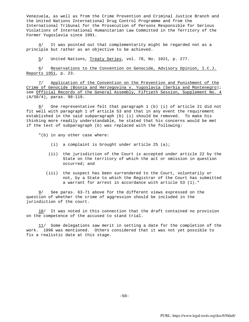Venezuela, as well as from the Crime Prevention and Criminal Justice Branch and the United Nations International Drug Control Programme and from the International Tribunal for the Prosecution of Persons Responsible for Serious Violations of International Humanitarian Law Committed in the Territory of the Former Yugoslavia since 1991.

 $4/$  It was pointed out that complementarity might be regarded not as a principle but rather as an objective to be achieved.

5/ United Nations, Treaty Series, vol. 78, No. 1021, p. 277.

6/ Reservations to the Convention on Genocide, Advisory Opinion, I.C.J. Reports 1951, p. 23.

7/ Application of the Convention on the Prevention and Punishment of the Crime of Genocide (Bosnia and Herzegovina v. Yugoslavia (Serbia and Montenegro); see Official Records of the General Assembly, Fiftieth Session, Supplement No. 4 (A/50/4), paras. 98-119.

8/ One representative felt that paragraph 1 (b) (i) of article 21 did not fit well with paragraph 1 of article 53 and that in any event the requirement established in the said subparagraph (b) (i) should be removed. To make his thinking more readily understandable, he stated that his concerns would be met if the text of subparagraph (b) was replaced with the following:

- "(b) in any other case where:
	- (i) a complaint is brought under article  $25$  (a);
	- (ii) the jurisdiction of the Court is accepted under article 22 by the State on the territory of which the act or omission in question occurred; and
	- (iii) the suspect has been surrendered to the Court, voluntarily or not, by a State to which the Registrar of the Court has submitted a warrant for arrest in accordance with article 53 (1)."

9/ See paras. 63-71 above for the different views expressed on the question of whether the crime of aggression should be included in the jurisdiction of the court.

10/ It was noted in this connection that the draft contained no provision on the competence of the accused to stand trial.

11/ Some delegations saw merit in setting a date for the completion of the work. 1996 was mentioned. Others considered that it was not yet possible to fix a realistic date at this stage.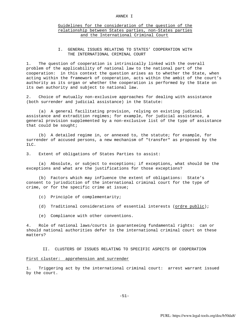#### ANNEX I

# Guidelines for the consideration of the question of the relationship between States parties, non-States parties and the International Criminal Court

# I. GENERAL ISSUES RELATING TO STATES' COOPERATION WITH THE INTERNATIONAL CRIMINAL COURT

1. The question of cooperation is intrinsically linked with the overall problem of the applicability of national law to the national part of the cooperation: in this context the question arises as to whether the State, when acting within the framework of cooperation, acts within the ambit of the court's authority as its organ or whether the cooperation is performed by the State on its own authority and subject to national law.

2. Choice of mutually non-exclusive approaches for dealing with assistance (both surrender and judicial assistance) in the Statute:

(a) A general facilitating provision, relying on existing judicial assistance and extradition regimes; for example, for judicial assistance, a general provision supplemented by a non-exclusive list of the type of assistance that could be sought;

(b) A detailed regime in, or annexed to, the statute; for example, for surrender of accused persons, a new mechanism of "transfer" as proposed by the ILC.

3. Extent of obligations of States Parties to assist:

(a) Absolute, or subject to exceptions; if exceptions, what should be the exceptions and what are the justifications for those exceptions?

(b) Factors which may influence the extent of obligations: State's consent to jurisdiction of the international criminal court for the type of crime, or for the specific crime at issue;

- (c) Principle of complementarity;
- (d) Traditional considerations of essential interests (ordre public);
- (e) Compliance with other conventions.

4. Role of national laws/courts in guaranteeing fundamental rights: can or should national authorities defer to the international criminal court on these matters?

II. CLUSTERS OF ISSUES RELATING TO SPECIFIC ASPECTS OF COOPERATION

#### First cluster: apprehension and surrender

1. Triggering act by the international criminal court: arrest warrant issued by the court.

-51-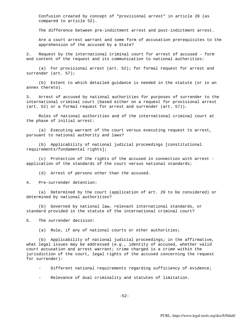Confusion created by concept of "provisional arrest" in article 28 (as compared to article 52).

The difference between pre-indictment arrest and post-indictment arrest.

Are a court arrest warrant and some form of accusation prerequisites to the apprehension of the accused by a State?

2. Request by the international criminal court for arrest of accused - form and content of the request and its communication to national authorities:

(a) For provisional arrest (art. 52); for formal request for arrest and surrender (art. 57);

(b) Extent to which detailed guidance is needed in the statute (or in an annex thereto).

3. Arrest of accused by national authorities for purposes of surrender to the international criminal court (based either on a request for provisional arrest (art. 52) or a formal request for arrest and surrender (art. 57)).

Roles of national authorities and of the international criminal court at the phase of initial arrest:

(a) Executing warrant of the court versus executing request to arrest, pursuant to national authority and laws?

(b) Applicability of national judicial proceedings [constitutional requirements/fundamental rights];

(c) Protection of the rights of the accused in connection with arrest application of the standards of the court versus national standards;

(d) Arrest of persons other than the accused.

4. Pre-surrender detention:

(a) Determined by the court (application of art. 29 to be considered) or determined by national authorities?

(b) Governed by national law, relevant international standards, or standard provided in the statute of the international criminal court?

5. The surrender decision:

(a) Role, if any of national courts or other authorities;

(b) Applicability of national judicial proceedings; in the affirmative, what legal issues may be addressed (e.g., identity of accused, whether valid court accusation and arrest warrant; crime charged is a crime within the jurisdiction of the court, legal rights of the accused concerning the request for surrender):

Different national requirements regarding sufficiency of evidence;

Relevance of dual criminality and statutes of limitation.

-52-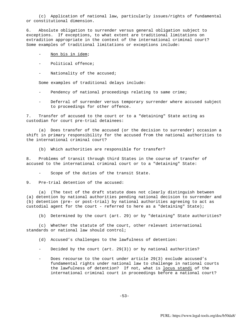(c) Application of national law, particularly issues/rights of fundamental or constitutional dimension.

6. Absolute obligation to surrender versus general obligation subject to exceptions. If exceptions, to what extent are traditional limitations on extradition appropriate in the context of the international criminal court? Some examples of traditional limitations or exceptions include:

- Non bis in idem;
- Political offence;
- Nationality of the accused;

Some examples of traditional delays include:

- Pendency of national proceedings relating to same crime;
- Deferral of surrender versus temporary surrender where accused subject to proceedings for other offence.

7. Transfer of accused to the court or to a "detaining" State acting as custodian for court pre-trial detainees:

(a) Does transfer of the accused (or the decision to surrender) occasion a shift in primary responsibility for the accused from the national authorities to the international criminal court?

(b) Which authorities are responsible for transfer?

8. Problems of transit through third States in the course of transfer of accused to the international criminal court or to a "detaining" State:

Scope of the duties of the transit State.

9. Pre-trial detention of the accused:

(a) (The text of the draft statute does not clearly distinguish between (a) detention by national authorities pending national decision to surrender and (b) detention (pre- or post-trial) by national authorities agreeing to act as custodial agent for the court - referred to here as a "detaining" State);

(b) Determined by the court (art. 29) or by "detaining" State authorities?

(c) Whether the statute of the court, other relevant international standards or national law should control;

- (d) Accused's challenges to the lawfulness of detention:
- Decided by the court (art.  $29(3)$ ) or by national authorities?
- Does recourse to the court under article 29(3) exclude accused's fundamental rights under national law to challenge in national courts the lawfulness of detention? If not, what is locus standi of the international criminal court in proceedings before a national court?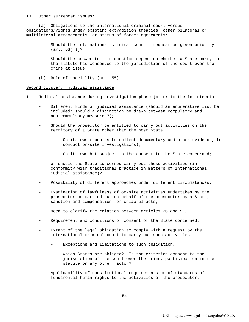#### 10. Other surrender issues:

(a) Obligations to the international criminal court versus obligations/rights under existing extradition treaties, other bilateral or multilateral arrangements, or status-of-forces agreements:

- Should the international criminal court's request be given priority (art. 53(4))?
- Should the answer to this question depend on whether a State party to the statute has consented to the jurisdiction of the court over the crime at issue?
- (b) Rule of speciality (art. 55).

#### Second cluster: judicial assistance

- 1. Judicial assistance during investigation phase (prior to the indictment)
	- Different kinds of judicial assistance (should an enumerative list be included; should a distinction be drawn between compulsory and non-compulsory measures?);
	- Should the prosecutor be entitled to carry out activities on the territory of a State other than the host State
		- On its own (such as to collect documentary and other evidence, to conduct on-site investigations);
		- On its own but subject to the consent to the State concerned;

or should the State concerned carry out those activities (in conformity with traditional practice in matters of international judicial assistance)?

- Possibility of different approaches under different circumstances;
- Examination of lawfulness of on-site activities undertaken by the prosecutor or carried out on behalf of the prosecutor by a State; sanction and compensation for unlawful acts;
- Need to clarify the relation between articles 26 and 51;
- Requirement and conditions of consent of the State concerned;
- Extent of the legal obligation to comply with a request by the international criminal court to carry out such activities:
	- Exceptions and limitations to such obligation;
	- Which States are obliged? Is the criterion consent to the jurisdiction of the court over the crime, participation in the statute or any other factor?
- Applicability of constitutional requirements or of standards of fundamental human rights to the activities of the prosecutor;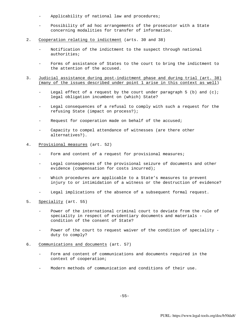- Applicability of national law and procedures;
- Possibility of ad hoc arrangements of the prosecutor with a State concerning modalities for transfer of information.
- 2. Cooperation relating to indictment (arts. 30 and 38)
	- Notification of the indictment to the suspect through national authorities;
	- Forms of assistance of States to the court to bring the indictment to the attention of the accused.
- 3. Judicial assistance during post-indictment phase and during trial (art. 38) (many of the issues described under point 1 arise in this context as well)
	- Legal effect of a request by the court under paragraph 5 (b) and  $(c)$ ; legal obligation incumbent on (which) State?
	- Legal consequences of a refusal to comply with such a request for the refusing State (impact on process?);
	- Request for cooperation made on behalf of the accused;
	- Capacity to compel attendance of witnesses (are there other alternatives?).
- 4. Provisional measures (art. 52)
	- Form and content of a request for provisional measures;
	- Legal consequences of the provisional seizure of documents and other evidence (compensation for costs incurred);
	- Which procedures are applicable to a State's measures to prevent injury to or intimidation of a witness or the destruction of evidence?
	- Legal implications of the absence of a subsequent formal request.
- 5. Speciality (art. 55)
	- Power of the international criminal court to deviate from the rule of speciality in respect of evidentiary documents and materials condition of the consent of State?
	- Power of the court to request waiver of the condition of speciality duty to comply?
- 6. Communications and documents (art. 57)
	- Form and content of communications and documents required in the context of cooperation;
	- Modern methods of communication and conditions of their use.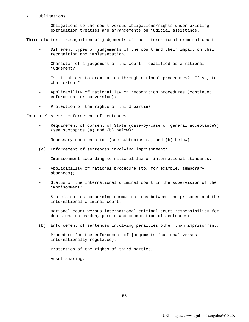# 7. Obligations

- Obligations to the court versus obligations/rights under existing extradition treaties and arrangements on judicial assistance.

#### Third cluster: recognition of judgements of the international criminal court

- Different types of judgements of the court and their impact on their recognition and implementation;
- Character of a judgement of the court qualified as a national judgement?
- Is it subject to examination through national procedures? If so, to what extent?
- Applicability of national law on recognition procedures (continued enforcement or conversion);
- Protection of the rights of third parties.

#### Fourth cluster: enforcement of sentences

- Requirement of consent of State (case-by-case or general acceptance?) (see subtopics (a) and (b) below);
- Necessary documentation (see subtopics (a) and (b) below):
- (a) Enforcement of sentences involving imprisonment:
- Imprisonment according to national law or international standards;
- Applicability of national procedure (to, for example, temporary absences);
- Status of the international criminal court in the supervision of the imprisonment;
- State's duties concerning communications between the prisoner and the international criminal court;
- National court versus international criminal court responsibility for decisions on pardon, parole and commutation of sentences;
- (b) Enforcement of sentences involving penalties other than imprisonment:
- Procedure for the enforcement of judgements (national versus internationally regulated);
- Protection of the rights of third parties;
- Asset sharing.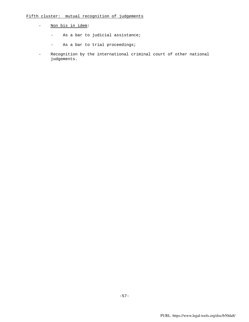# Fifth cluster: mutual recognition of judgements

# - Non bis in idem:

- As a bar to judicial assistance;
- As a bar to trial proceedings;
- Recognition by the international criminal court of other national judgements.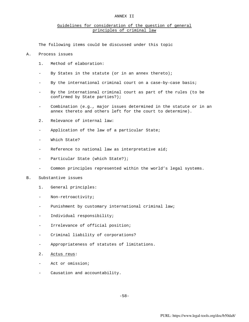#### ANNEX II

# Guidelines for consideration of the question of general principles of criminal law

The following items could be discussed under this topic

#### A. Process issues

- 1. Method of elaboration:
- By States in the statute (or in an annex thereto);
- By the international criminal court on a case-by-case basis;
- By the international criminal court as part of the rules (to be confirmed by State parties?);
- Combination (e.g., major issues determined in the statute or in an annex thereto and others left for the court to determine).
- 2. Relevance of internal law:
- Application of the law of a particular State;
- Which State?
- Reference to national law as interpretative aid;
- Particular State (which State?);
- Common principles represented within the world's legal systems.
- B. Substantive issues
	- 1. General principles:
	- Non-retroactivity;
	- Punishment by customary international criminal law;
	- Individual responsibility;
	- Irrelevance of official position;
	- Criminal liability of corporations?
	- Appropriateness of statutes of limitations.
	- 2. Actus reus:
	- Act or omission;
	- Causation and accountability.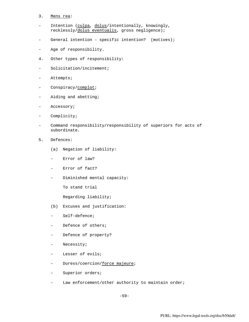- 3. Mens rea:
- Intention (culpa, dolus/intentionally, knowingly, recklessly/dolus eventualis, gross negligence);
- General intention specific intention? (motives);
- Age of responsibility.
- 4. Other types of responsibility:
- Solicitation/incitement;
- Attempts;
- Conspiracy/complot;
- Aiding and abetting;
- Accessory;
- Complicity;
- Command responsibility/responsibility of superiors for acts of subordinate.
- 5. Defences:
	- (a) Negation of liability:
	- Error of law?
	- Error of fact?
	- Diminished mental capacity:
		- To stand trial

Regarding liability;

- (b) Excuses and justification:
- Self-defence;
- Defence of others;
- Defence of property?
- Necessity;
- Lesser of evils;
- Duress/coercion/force majeure;
- Superior orders;
- Law enforcement/other authority to maintain order;